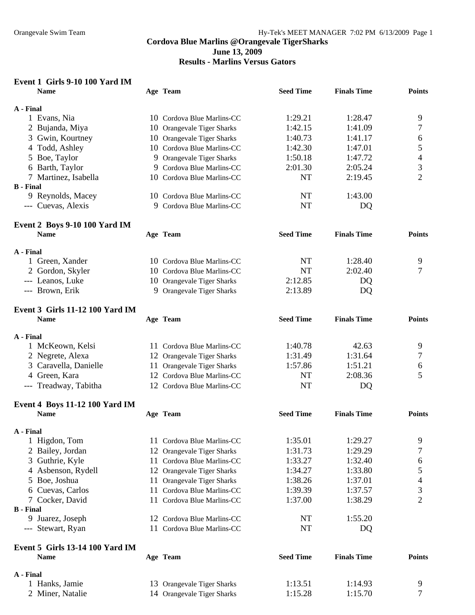**Results - Marlins Versus Gators** 

| Event 1 Girls 9-10 100 Yard IM<br><b>Name</b> |    | Age Team                       | <b>Seed Time</b> | <b>Finals Time</b> | <b>Points</b>            |
|-----------------------------------------------|----|--------------------------------|------------------|--------------------|--------------------------|
| A - Final                                     |    |                                |                  |                    |                          |
| 1 Evans, Nia                                  |    | 10 Cordova Blue Marlins-CC     | 1:29.21          | 1:28.47            | 9                        |
| 2 Bujanda, Miya                               |    | 10 Orangevale Tiger Sharks     | 1:42.15          | 1:41.09            | 7                        |
| Gwin, Kourtney<br>3                           |    | 10 Orangevale Tiger Sharks     | 1:40.73          | 1:41.17            | 6                        |
| Todd, Ashley<br>4                             |    | 10 Cordova Blue Marlins-CC     | 1:42.30          | 1:47.01            | 5                        |
| Boe, Taylor<br>5                              | 9  | <b>Orangevale Tiger Sharks</b> | 1:50.18          | 1:47.72            | $\overline{\mathcal{L}}$ |
| 6 Barth, Taylor                               |    | 9 Cordova Blue Marlins-CC      | 2:01.30          | 2:05.24            | 3                        |
| 7 Martinez, Isabella                          |    | 10 Cordova Blue Marlins-CC     | NT               | 2:19.45            | $\overline{2}$           |
| <b>B</b> - Final                              |    |                                |                  |                    |                          |
| 9 Reynolds, Macey                             |    | 10 Cordova Blue Marlins-CC     | NT               | 1:43.00            |                          |
| --- Cuevas, Alexis                            | 9. | Cordova Blue Marlins-CC        | <b>NT</b>        | DQ                 |                          |
| Event 2 Boys 9-10 100 Yard IM<br><b>Name</b>  |    | Age Team                       | <b>Seed Time</b> | <b>Finals Time</b> | <b>Points</b>            |
|                                               |    |                                |                  |                    |                          |
| A - Final                                     |    |                                |                  |                    |                          |
| 1 Green, Xander                               |    | 10 Cordova Blue Marlins-CC     | NT               | 1:28.40            | 9                        |
| 2 Gordon, Skyler                              |    | 10 Cordova Blue Marlins-CC     | <b>NT</b>        | 2:02.40            | 7                        |
| --- Leanos, Luke                              |    | 10 Orangevale Tiger Sharks     | 2:12.85          | DQ                 |                          |
| --- Brown, Erik                               |    | 9 Orangevale Tiger Sharks      | 2:13.89          | DQ                 |                          |
| <b>Event 3 Girls 11-12 100 Yard IM</b>        |    |                                |                  |                    |                          |
| <b>Name</b>                                   |    | Age Team                       | <b>Seed Time</b> | <b>Finals Time</b> | <b>Points</b>            |
| A - Final                                     |    |                                |                  |                    |                          |
| 1 McKeown, Kelsi                              |    | 11 Cordova Blue Marlins-CC     | 1:40.78          | 42.63              | 9                        |
| 2 Negrete, Alexa                              |    | 12 Orangevale Tiger Sharks     | 1:31.49          | 1:31.64            | 7                        |
| 3 Caravella, Danielle                         |    | 11 Orangevale Tiger Sharks     | 1:57.86          | 1:51.21            | 6                        |
| 4 Green, Kara                                 |    | 12 Cordova Blue Marlins-CC     | <b>NT</b>        | 2:08.36            | 5                        |
| --- Treadway, Tabitha                         |    | 12 Cordova Blue Marlins-CC     | <b>NT</b>        | DQ                 |                          |
| <b>Event 4 Boys 11-12 100 Yard IM</b>         |    |                                |                  |                    |                          |
| <b>Name</b>                                   |    | Age Team                       | <b>Seed Time</b> | <b>Finals Time</b> | <b>Points</b>            |
|                                               |    |                                |                  |                    |                          |
| A - Final                                     |    |                                |                  |                    |                          |
| 1 Higdon, Tom                                 |    | 11 Cordova Blue Marlins-CC     | 1:35.01          | 1:29.27            | 9                        |
| Bailey, Jordan<br>2                           |    | 12 Orangevale Tiger Sharks     | 1:31.73          | 1:29.29            | 7                        |
| Guthrie, Kyle<br>3                            |    | 11 Cordova Blue Marlins-CC     | 1:33.27          | 1:32.40            | 6                        |
| Asbenson, Rydell<br>4                         |    | 12 Orangevale Tiger Sharks     | 1:34.27          | 1:33.80            | 5                        |
| Boe, Joshua<br>5                              |    | 11 Orangevale Tiger Sharks     | 1:38.26          | 1:37.01            | 4                        |
| Cuevas, Carlos<br>6                           | 11 | Cordova Blue Marlins-CC        | 1:39.39          | 1:37.57            | 3                        |
| 7 Cocker, David                               |    | 11 Cordova Blue Marlins-CC     | 1:37.00          | 1:38.29            | $\overline{2}$           |
| <b>B</b> - Final                              |    |                                |                  |                    |                          |
| 9 Juarez, Joseph                              |    | 12 Cordova Blue Marlins-CC     | NT               | 1:55.20            |                          |
| --- Stewart, Ryan                             |    | 11 Cordova Blue Marlins-CC     | NT               | DQ                 |                          |
| <b>Event 5 Girls 13-14 100 Yard IM</b>        |    |                                |                  |                    |                          |
| <b>Name</b>                                   |    | Age Team                       | <b>Seed Time</b> | <b>Finals Time</b> | <b>Points</b>            |
| A - Final                                     |    |                                |                  |                    |                          |
| 1 Hanks, Jamie                                |    | 13 Orangevale Tiger Sharks     | 1:13.51          | 1:14.93            | 9                        |

2 Miner, Natalie 14 Orangevale Tiger Sharks 1:15.28 1:15.70 7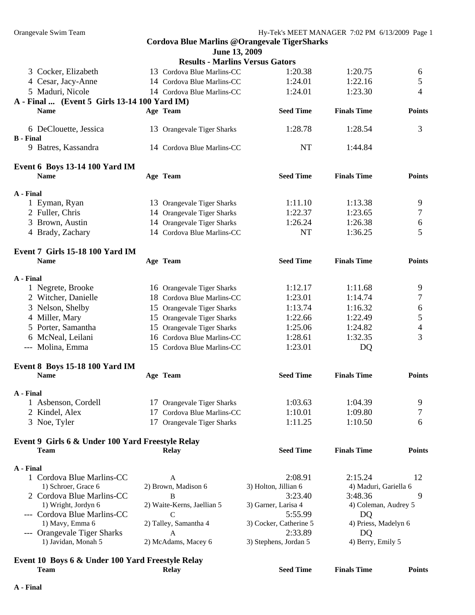|                                                  |    | <b>Cordova Blue Marlins @Orangevale TigerSharks</b> |                        |                       |                |
|--------------------------------------------------|----|-----------------------------------------------------|------------------------|-----------------------|----------------|
|                                                  |    | June 13, 2009                                       |                        |                       |                |
|                                                  |    | <b>Results - Marlins Versus Gators</b>              |                        |                       |                |
| 3 Cocker, Elizabeth                              |    | 13 Cordova Blue Marlins-CC                          | 1:20.38                | 1:20.75               | 6              |
| 4 Cesar, Jacy-Anne                               |    | 14 Cordova Blue Marlins-CC                          | 1:24.01                | 1:22.16               | 5              |
| 5 Maduri, Nicole                                 |    | 14 Cordova Blue Marlins-CC                          | 1:24.01                | 1:23.30               | 4              |
| A - Final  (Event 5 Girls 13-14 100 Yard IM)     |    |                                                     |                        |                       |                |
| <b>Name</b>                                      |    | Age Team                                            | <b>Seed Time</b>       | <b>Finals Time</b>    | <b>Points</b>  |
|                                                  |    |                                                     |                        |                       |                |
| 6 DeClouette, Jessica                            |    | 13 Orangevale Tiger Sharks                          | 1:28.78                | 1:28.54               | 3              |
| <b>B</b> - Final                                 |    |                                                     |                        |                       |                |
| 9 Batres, Kassandra                              |    | 14 Cordova Blue Marlins-CC                          | <b>NT</b>              | 1:44.84               |                |
| <b>Event 6 Boys 13-14 100 Yard IM</b>            |    |                                                     |                        |                       |                |
| <b>Name</b>                                      |    | Age Team                                            | <b>Seed Time</b>       | <b>Finals Time</b>    | <b>Points</b>  |
|                                                  |    |                                                     |                        |                       |                |
| A - Final                                        |    |                                                     |                        |                       |                |
| 1 Eyman, Ryan                                    |    | 13 Orangevale Tiger Sharks                          | 1:11.10                | 1:13.38               | 9              |
| 2 Fuller, Chris                                  |    | 14 Orangevale Tiger Sharks                          | 1:22.37                | 1:23.65               | 7              |
| 3 Brown, Austin                                  |    | 14 Orangevale Tiger Sharks                          | 1:26.24                | 1:26.38               | 6              |
| 4 Brady, Zachary                                 |    | 14 Cordova Blue Marlins-CC                          | <b>NT</b>              | 1:36.25               | 5              |
| <b>Event 7 Girls 15-18 100 Yard IM</b>           |    |                                                     |                        |                       |                |
| <b>Name</b>                                      |    | Age Team                                            | <b>Seed Time</b>       | <b>Finals Time</b>    | <b>Points</b>  |
|                                                  |    |                                                     |                        |                       |                |
| A - Final                                        |    |                                                     |                        |                       |                |
| 1 Negrete, Brooke                                |    | 16 Orangevale Tiger Sharks                          | 1:12.17                | 1:11.68               | 9              |
| 2 Witcher, Danielle                              |    | 18 Cordova Blue Marlins-CC                          | 1:23.01                | 1:14.74               | $\overline{7}$ |
| 3 Nelson, Shelby                                 |    | 15 Orangevale Tiger Sharks                          | 1:13.74                | 1:16.32               | 6              |
| 4 Miller, Mary                                   |    | 15 Orangevale Tiger Sharks                          | 1:22.66                | 1:22.49               | 5              |
| 5 Porter, Samantha                               |    | 15 Orangevale Tiger Sharks                          | 1:25.06                | 1:24.82               | $\overline{4}$ |
| 6 McNeal, Leilani                                |    | 16 Cordova Blue Marlins-CC                          | 1:28.61                | 1:32.35               | 3              |
| --- Molina, Emma                                 |    | 15 Cordova Blue Marlins-CC                          | 1:23.01                | DQ                    |                |
|                                                  |    |                                                     |                        |                       |                |
| Event 8 Boys 15-18 100 Yard IM                   |    |                                                     |                        |                       |                |
| <b>Name</b>                                      |    | Age Team                                            | <b>Seed Time</b>       | <b>Finals Time</b>    | <b>Points</b>  |
| A - Final                                        |    |                                                     |                        |                       |                |
| 1 Asbenson, Cordell                              |    | 17 Orangevale Tiger Sharks                          | 1:03.63                | 1:04.39               | 9              |
| 2 Kindel, Alex                                   | 17 | Cordova Blue Marlins-CC                             | 1:10.01                | 1:09.80               | 7              |
| 3 Noe, Tyler                                     | 17 | Orangevale Tiger Sharks                             | 1:11.25                | 1:10.50               | 6              |
|                                                  |    |                                                     |                        |                       |                |
| Event 9 Girls 6 & Under 100 Yard Freestyle Relay |    |                                                     |                        |                       |                |
| <b>Team</b>                                      |    | <b>Relay</b>                                        | <b>Seed Time</b>       | <b>Finals Time</b>    | <b>Points</b>  |
| A - Final                                        |    |                                                     |                        |                       |                |
| 1 Cordova Blue Marlins-CC                        |    | A                                                   | 2:08.91                | 2:15.24               | 12             |
| 1) Schroer, Grace 6                              |    | 2) Brown, Madison 6                                 | 3) Holton, Jillian 6   | 4) Maduri, Gariella 6 |                |
| 2 Cordova Blue Marlins-CC                        |    | B                                                   | 3:23.40                | 3:48.36               | 9              |
| 1) Wright, Jordyn 6                              |    | 2) Waite-Kerns, Jaellian 5                          | 3) Garner, Larisa 4    | 4) Coleman, Audrey 5  |                |
| --- Cordova Blue Marlins-CC                      |    | C                                                   | 5:55.99                | DQ                    |                |
| 1) Mavy, Emma 6                                  |    | 2) Talley, Samantha 4                               | 3) Cocker, Catherine 5 | 4) Priess, Madelyn 6  |                |
| --- Orangevale Tiger Sharks                      |    | A                                                   | 2:33.89                | DQ                    |                |
| 1) Javidan, Monah 5                              |    | 2) McAdams, Macey 6                                 | 3) Stephens, Jordan 5  | 4) Berry, Emily 5     |                |
|                                                  |    |                                                     |                        |                       |                |
| Event 10 Boys 6 & Under 100 Yard Freestyle Relay |    |                                                     |                        |                       |                |

**Team Relay Seed Time Finals Time Points**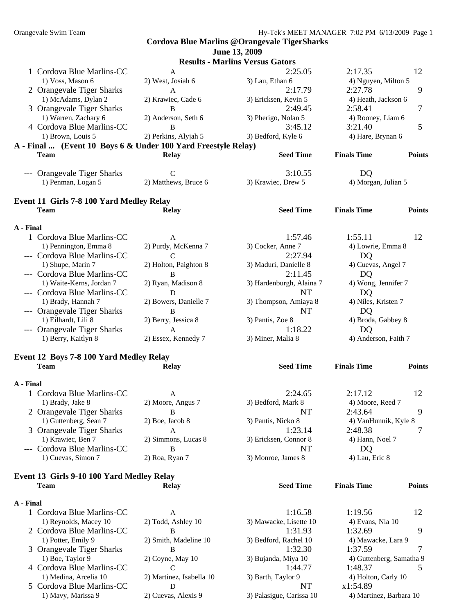### **Cordova Blue Marlins @Orangevale TigerSharks June 13, 2009 Results - Marlins Versus Gators**  1 Cordova Blue Marlins-CC A 2:25.05 2:17.35 12 1) Voss, Mason 6 2) West, Josiah 6 3) Lau, Ethan 6 4) Nguyen, Milton 5 2 Orangevale Tiger Sharks A 2:17.79 2:27.78 9 1) McAdams, Dylan 2 2) Krawiec, Cade 6 3) Ericksen, Kevin 5 4) Heath, Jackson 6 3 Orangevale Tiger Sharks  $B = 2.49.45$   $2.58.41$   $7$ 1) Warren, Zachary 6 2) Anderson, Seth 6 3) Pherigo, Nolan 5 4) Rooney, Liam 6 4 Cordova Blue Marlins-CC B 3:45.12 3:21.40 5 1) Brown, Louis 5 2) Perkins, Alyjah 5 3) Bedford, Kyle 6 4) Hare, Brynan 6 **A - Final ... (Event 10 Boys 6 & Under 100 Yard Freestyle Relay) Team Relay Seed Time Finals Time Points**  --- Orangevale Tiger Sharks C 3:10.55 DQ 1) Penman, Logan 5 2) Matthews, Bruce 6 3) Krawiec, Drew 5 4) Morgan, Julian 5 **Event 11 Girls 7-8 100 Yard Medley Relay Team Relay Seed Time Finals Time Points A - Final**  1 Cordova Blue Marlins-CC A 1:57.46 1:55.11 12 1) Pennington, Emma 8 2) Purdy, McKenna 7 3) Cocker, Anne 7 4) Lowrie, Emma 8 --- Cordova Blue Marlins-CC C 2:27.94 DQ 1) Shupe, Marin 7 2) Holton, Paighton 8 3) Maduri, Danielle 8 4) Cuevas, Angel 7 --- Cordova Blue Marlins-CC B<br>
1) Waite-Kerns, Jordan 7 2) Ryan, Madison 8 3) Hardenburgh, Alaina 7 4) Wong, Jennifer 7 2) Ryan, Madison 8 3) Hardenburgh, Alaina 7 --- Cordova Blue Marlins-CC D D NT DO 1) Brady, Hannah 7 2) Bowers, Danielle 7 3) Thompson, Amiaya 8 4) Niles, Kristen 7 --- Orangevale Tiger Sharks B NT DQ 1) Eilhardt, Lili 8 2) Berry, Jessica 8 3) Pantis, Zoe 8 4) Broda, Gabbey 8 --- Orangevale Tiger Sharks A 1:18.22 DQ 1) Berry, Kaitlyn 8 2) Essex, Kennedy 7 3) Miner, Malia 8 4) Anderson, Faith 7 **Event 12 Boys 7-8 100 Yard Medley Relay Team Relay Seed Time Finals Time Points A - Final**  1 Cordova Blue Marlins-CC A 2:24.65 2:17.12 12 1) Brady, Jake 8 2) Moore, Angus 7 3) Bedford, Mark 8 4) Moore, Reed 7 2 Orangevale Tiger Sharks B B NT 2:43.64 9 1) Guttenberg, Sean 7 2) Boe, Jacob 8 3) Pantis, Nicko 8 4) VanHunnik, Kyle 8 3 Orangevale Tiger Sharks  $A$  A  $1:23.14$   $2:48.38$  7 1) Krawiec, Ben 7 2) Simmons, Lucas 8 3) Ericksen, Connor 8 4) Hann, Noel 7 --- Cordova Blue Marlins-CC B NT NT DQ 1) Cuevas, Simon 7 2) Roa, Ryan 7 3) Monroe, James 8 4) Lau, Eric 8

### **Event 13 Girls 9-10 100 Yard Medley Relay Team Relay Seed Time Finals Time Points**

| A - Final |                           |                          |                          |                          |    |
|-----------|---------------------------|--------------------------|--------------------------|--------------------------|----|
|           | 1 Cordova Blue Marlins-CC | A                        | 1:16.58                  | 1:19.56                  | 12 |
|           | 1) Reynolds, Macey 10     | 2) Todd, Ashley 10       | 3) Mawacke, Lisette 10   | 4) Evans, Nia 10         |    |
|           | 2 Cordova Blue Marlins-CC | B                        | 1:31.93                  | 1:32.69                  | 9  |
|           | 1) Potter, Emily 9        | 2) Smith, Madeline 10    | 3) Bedford, Rachel 10    | 4) Mawacke, Lara 9       |    |
|           | 3 Orangevale Tiger Sharks | B                        | 1:32.30                  | 1:37.59                  |    |
|           | 1) Boe, Taylor 9          | $2)$ Coyne, May 10       | 3) Bujanda, Miya 10      | 4) Guttenberg, Samatha 9 |    |
|           | 4 Cordova Blue Marlins-CC |                          | 1:44.77                  | 1:48.37                  |    |
|           | 1) Medina, Arcelia 10     | 2) Martinez, Isabella 10 | 3) Barth, Taylor 9       | 4) Holton, Carly 10      |    |
|           | 5 Cordova Blue Marlins-CC | D                        | NT                       | x1:54.89                 |    |
|           | 1) Mavy, Marissa 9        | 2) Cuevas, Alexis 9      | 3) Palasigue, Carissa 10 | 4) Martinez, Barbara 10  |    |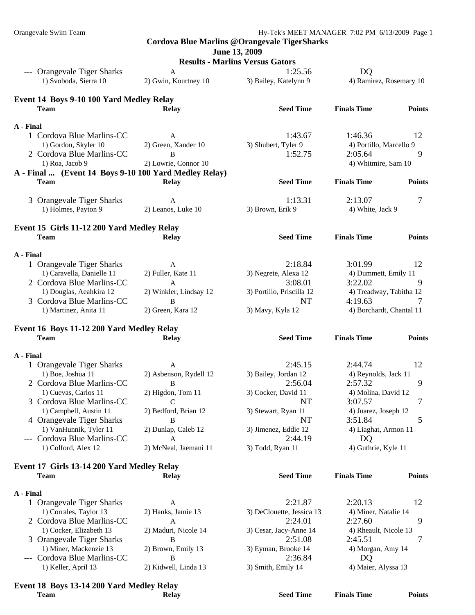#### **June 13, 2009**

**Results - Marlins Versus Gators** 

|           |                                                       | Results - Martillis Versus Gators |                               |                           |               |
|-----------|-------------------------------------------------------|-----------------------------------|-------------------------------|---------------------------|---------------|
|           | --- Orangevale Tiger Sharks                           | A                                 | 1:25.56                       | D <sub>Q</sub>            |               |
|           | 1) Svoboda, Sierra 10                                 | 2) Gwin, Kourtney 10              | 3) Bailey, Katelynn 9         | 4) Ramirez, Rosemary 10   |               |
|           | Event 14 Boys 9-10 100 Yard Medley Relay              |                                   |                               |                           |               |
|           | <b>Team</b>                                           | <b>Relay</b>                      | <b>Seed Time</b>              | <b>Finals Time</b>        | <b>Points</b> |
|           |                                                       |                                   |                               |                           |               |
| A - Final |                                                       |                                   |                               |                           |               |
|           | 1 Cordova Blue Marlins-CC                             | A                                 | 1:43.67                       | 1:46.36                   | 12            |
|           | 1) Gordon, Skyler 10                                  | 2) Green, Xander 10               | 3) Shubert, Tyler 9           | 4) Portillo, Marcello 9   |               |
|           | 2 Cordova Blue Marlins-CC                             | B                                 | 1:52.75                       | 2:05.64                   | 9             |
|           | 1) Roa, Jacob 9                                       | 2) Lowrie, Connor 10              |                               | 4) Whitmire, Sam 10       |               |
|           | A - Final  (Event 14 Boys 9-10 100 Yard Medley Relay) |                                   |                               |                           |               |
|           | <b>Team</b>                                           | Relay                             | <b>Seed Time</b>              | <b>Finals Time</b>        | <b>Points</b> |
|           |                                                       |                                   |                               |                           |               |
|           | 3 Orangevale Tiger Sharks                             | A                                 | 1:13.31                       | 2:13.07                   | 7             |
|           | 1) Holmes, Payton 9                                   | 2) Leanos, Luke 10                | 3) Brown, Erik 9              | 4) White, Jack 9          |               |
|           |                                                       |                                   |                               |                           |               |
|           | Event 15 Girls 11-12 200 Yard Medley Relay            |                                   |                               |                           |               |
|           | <b>Team</b>                                           | <b>Relay</b>                      | <b>Seed Time</b>              | <b>Finals Time</b>        | <b>Points</b> |
| A - Final |                                                       |                                   |                               |                           |               |
|           | 1 Orangevale Tiger Sharks                             | A                                 | 2:18.84                       | 3:01.99                   | 12            |
|           | 1) Caravella, Danielle 11                             | 2) Fuller, Kate 11                | 3) Negrete, Alexa 12          | 4) Dummett, Emily 11      |               |
|           | 2 Cordova Blue Marlins-CC                             | A                                 | 3:08.01                       | 3:22.02                   | 9             |
|           | 1) Douglas, Aeahkira 12                               | 2) Winkler, Lindsay 12            | 3) Portillo, Priscilla 12     | 4) Treadway, Tabitha 12   |               |
|           | 3 Cordova Blue Marlins-CC                             | B                                 | NT                            | 4:19.63                   |               |
|           | 1) Martinez, Anita 11                                 | 2) Green, Kara 12                 | 3) Mavy, Kyla 12              | 4) Borchardt, Chantal 11  |               |
|           |                                                       |                                   |                               |                           |               |
|           |                                                       |                                   |                               |                           |               |
|           | Event 16 Boys 11-12 200 Yard Medley Relay             |                                   |                               |                           |               |
|           | <b>Team</b>                                           | <b>Relay</b>                      | <b>Seed Time</b>              | <b>Finals Time</b>        | <b>Points</b> |
|           |                                                       |                                   |                               |                           |               |
| A - Final |                                                       |                                   |                               |                           |               |
|           | 1 Orangevale Tiger Sharks                             | A                                 | 2:45.15                       | 2:44.74                   | 12            |
|           | 1) Boe, Joshua 11                                     | 2) Asbenson, Rydell 12            | 3) Bailey, Jordan 12          | 4) Reynolds, Jack 11      |               |
|           | 2 Cordova Blue Marlins-CC                             | B                                 | 2:56.04                       | 2:57.32                   | 9             |
|           | 1) Cuevas, Carlos 11                                  | 2) Higdon, Tom 11                 | 3) Cocker, David 11           | 4) Molina, David 12       |               |
|           | 3 Cordova Blue Marlins-CC                             | $\mathcal{C}$                     | NT                            | 3:07.57                   | 7             |
|           | 1) Campbell, Austin 11                                | 2) Bedford, Brian 12              | 3) Stewart, Ryan 11           | 4) Juarez, Joseph 12      |               |
|           | 4 Orangevale Tiger Sharks                             | B                                 | NT                            | 3:51.84                   | 5             |
|           | 1) VanHunnik, Tyler 11                                | 2) Dunlap, Caleb 12               | 3) Jimenez, Eddie 12          | 4) Liaghat, Armon 11      |               |
|           | --- Cordova Blue Marlins-CC                           | A                                 | 2:44.19                       | DQ                        |               |
|           | 1) Colford, Alex 12                                   | 2) McNeal, Jaemani 11             | 3) Todd, Ryan 11              | 4) Guthrie, Kyle 11       |               |
|           | Event 17 Girls 13-14 200 Yard Medley Relay            |                                   |                               |                           |               |
|           | <b>Team</b>                                           | <b>Relay</b>                      | <b>Seed Time</b>              | <b>Finals Time</b>        | <b>Points</b> |
|           |                                                       |                                   |                               |                           |               |
| A - Final |                                                       |                                   |                               |                           |               |
|           | 1 Orangevale Tiger Sharks                             | A                                 | 2:21.87                       | 2:20.13                   | 12            |
|           | 1) Corrales, Taylor 13                                | 2) Hanks, Jamie 13                | 3) DeClouette, Jessica 13     | 4) Miner, Natalie 14      |               |
|           | 2 Cordova Blue Marlins-CC                             | A                                 | 2:24.01                       | 2:27.60                   | 9             |
|           | 1) Cocker, Elizabeth 13                               | 2) Maduri, Nicole 14              | 3) Cesar, Jacy-Anne 14        | 4) Rheault, Nicole 13     |               |
|           | 3 Orangevale Tiger Sharks                             | B                                 | 2:51.08                       | 2:45.51                   | 7             |
|           | 1) Miner, Mackenzie 13                                | 2) Brown, Emily 13                | 3) Eyman, Brooke 14           | 4) Morgan, Amy 14         |               |
|           | --- Cordova Blue Marlins-CC<br>1) Keller, April 13    | B<br>2) Kidwell, Linda 13         | 2:36.84<br>3) Smith, Emily 14 | DQ<br>4) Maier, Alyssa 13 |               |

## **Event 18 Boys 13-14 200 Yard Medley Relay**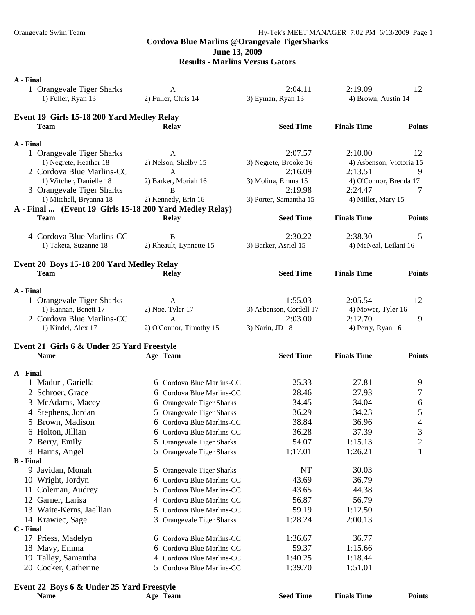### **June 13, 2009**

### **Results - Marlins Versus Gators**

| A - Final<br>1 Orangevale Tiger Sharks<br>1) Fuller, Ryan 13 | A<br>2) Fuller, Chris 14      | 2:04.11<br>3) Eyman, Ryan 13       | 2:19.09<br>4) Brown, Austin 14    | 12             |
|--------------------------------------------------------------|-------------------------------|------------------------------------|-----------------------------------|----------------|
|                                                              |                               |                                    |                                   |                |
| Event 19 Girls 15-18 200 Yard Medley Relay<br><b>Team</b>    | <b>Relay</b>                  | <b>Seed Time</b>                   | <b>Finals Time</b>                | <b>Points</b>  |
| A - Final                                                    |                               |                                    |                                   |                |
| 1 Orangevale Tiger Sharks                                    | A                             | 2:07.57                            | 2:10.00                           | 12             |
| 1) Negrete, Heather 18                                       | 2) Nelson, Shelby 15          | 3) Negrete, Brooke 16              | 4) Asbenson, Victoria 15          |                |
| 2 Cordova Blue Marlins-CC                                    | A                             | 2:16.09                            | 2:13.51                           | 9              |
| 1) Witcher, Danielle 18<br>3 Orangevale Tiger Sharks         | 2) Barker, Moriah 16<br>B     | 3) Molina, Emma 15<br>2:19.98      | 4) O'Connor, Brenda 17<br>2:24.47 | 7              |
| 1) Mitchell, Bryanna 18                                      | 2) Kennedy, Erin 16           | 3) Porter, Samantha 15             | 4) Miller, Mary 15                |                |
| A - Final  (Event 19 Girls 15-18 200 Yard Medley Relay)      |                               |                                    |                                   |                |
| <b>Team</b>                                                  | <b>Relay</b>                  | <b>Seed Time</b>                   | <b>Finals Time</b>                | <b>Points</b>  |
| 4 Cordova Blue Marlins-CC                                    | B                             | 2:30.22                            | 2:38.30                           | 5              |
| 1) Taketa, Suzanne 18                                        | 2) Rheault, Lynnette 15       | 3) Barker, Asriel 15               | 4) McNeal, Leilani 16             |                |
|                                                              |                               |                                    |                                   |                |
| Event 20 Boys 15-18 200 Yard Medley Relay<br><b>Team</b>     | <b>Relay</b>                  | <b>Seed Time</b>                   | <b>Finals Time</b>                | <b>Points</b>  |
|                                                              |                               |                                    |                                   |                |
| A - Final                                                    |                               |                                    |                                   |                |
| 1 Orangevale Tiger Sharks<br>1) Hannan, Benett 17            | A                             | 1:55.03                            | 2:05.54                           | 12             |
| 2 Cordova Blue Marlins-CC                                    | 2) Noe, Tyler 17<br>A         | 3) Asbenson, Cordell 17<br>2:03.00 | 4) Mower, Tyler 16<br>2:12.70     | 9              |
| 1) Kindel, Alex 17                                           | 2) O'Connor, Timothy 15       | 3) Narin, JD 18                    | 4) Perry, Ryan 16                 |                |
|                                                              |                               |                                    |                                   |                |
| Event 21 Girls 6 & Under 25 Yard Freestyle                   |                               |                                    |                                   |                |
| <b>Name</b>                                                  | Age Team                      | <b>Seed Time</b>                   | <b>Finals Time</b>                | <b>Points</b>  |
| A - Final                                                    |                               |                                    |                                   |                |
| 1 Maduri, Gariella                                           | 6 Cordova Blue Marlins-CC     | 25.33                              | 27.81                             | 9              |
| 2 Schroer, Grace                                             | 6 Cordova Blue Marlins-CC     | 28.46                              | 27.93                             | 7              |
| 3 McAdams, Macey                                             | 6 Orangevale Tiger Sharks     | 34.45                              | 34.04                             | 6              |
| 4 Stephens, Jordan                                           | 5 Orangevale Tiger Sharks     | 36.29                              | 34.23                             | 5              |
| 5 Brown, Madison                                             | 6 Cordova Blue Marlins-CC     | 38.84                              | 36.96                             | 4              |
| 6 Holton, Jillian                                            | 6 Cordova Blue Marlins-CC     | 36.28                              | 37.39                             | 3              |
| 7 Berry, Emily                                               | 5 Orangevale Tiger Sharks     | 54.07                              | 1:15.13                           | $\overline{2}$ |
| 8 Harris, Angel                                              | 5 Orangevale Tiger Sharks     | 1:17.01                            | 1:26.21                           | 1              |
| <b>B</b> - Final<br>9 Javidan, Monah                         | 5 Orangevale Tiger Sharks     | NT                                 | 30.03                             |                |
| 10 Wright, Jordyn                                            | 6 Cordova Blue Marlins-CC     | 43.69                              | 36.79                             |                |
| Coleman, Audrey<br>11                                        | Cordova Blue Marlins-CC<br>5. | 43.65                              | 44.38                             |                |
| 12 Garner, Larisa                                            | 4 Cordova Blue Marlins-CC     | 56.87                              | 56.79                             |                |
| 13 Waite-Kerns, Jaellian                                     | 5 Cordova Blue Marlins-CC     | 59.19                              | 1:12.50                           |                |
| 14 Krawiec, Sage                                             | 3 Orangevale Tiger Sharks     | 1:28.24                            | 2:00.13                           |                |
| C - Final                                                    |                               |                                    |                                   |                |
| 17 Priess, Madelyn                                           | 6 Cordova Blue Marlins-CC     | 1:36.67                            | 36.77                             |                |
| 18 Mavy, Emma                                                | 6 Cordova Blue Marlins-CC     | 59.37                              | 1:15.66                           |                |
| 19 Talley, Samantha                                          | 4 Cordova Blue Marlins-CC     | 1:40.25                            | 1:18.44                           |                |
| 20 Cocker, Catherine                                         | 5 Cordova Blue Marlins-CC     | 1:39.70                            | 1:51.01                           |                |
| Event 22 Boys 6 & Under 25 Yard Freestyle                    |                               |                                    |                                   |                |
| <b>Name</b>                                                  | Age Team                      | <b>Seed Time</b>                   | <b>Finals Time</b>                | <b>Points</b>  |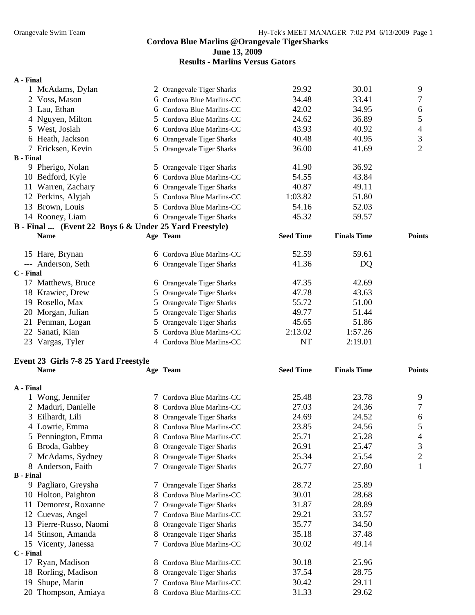**June 13, 2009** 

**Results - Marlins Versus Gators** 

### **A - Final**

|                  | 1 McAdams, Dylan                                       |   | 2 Orangevale Tiger Sharks      | 29.92            | 30.01              | 9              |
|------------------|--------------------------------------------------------|---|--------------------------------|------------------|--------------------|----------------|
|                  | 2 Voss, Mason                                          |   | 6 Cordova Blue Marlins-CC      | 34.48            | 33.41              | 7              |
|                  | 3 Lau, Ethan                                           |   | 6 Cordova Blue Marlins-CC      | 42.02            | 34.95              | $\sqrt{6}$     |
|                  | 4 Nguyen, Milton                                       |   | 5 Cordova Blue Marlins-CC      | 24.62            | 36.89              | 5              |
|                  | 5 West, Josiah                                         |   | 6 Cordova Blue Marlins-CC      | 43.93            | 40.92              | $\overline{4}$ |
|                  | 6 Heath, Jackson                                       |   | 6 Orangevale Tiger Sharks      | 40.48            | 40.95              | 3              |
|                  | 7 Ericksen, Kevin                                      |   | 5 Orangevale Tiger Sharks      | 36.00            | 41.69              | $\overline{2}$ |
| <b>B</b> - Final |                                                        |   |                                |                  |                    |                |
|                  | 9 Pherigo, Nolan                                       |   | 5 Orangevale Tiger Sharks      | 41.90            | 36.92              |                |
|                  | 10 Bedford, Kyle                                       |   | 6 Cordova Blue Marlins-CC      | 54.55            | 43.84              |                |
|                  | 11 Warren, Zachary                                     |   | 6 Orangevale Tiger Sharks      | 40.87            | 49.11              |                |
|                  | 12 Perkins, Alyjah                                     |   | 5 Cordova Blue Marlins-CC      | 1:03.82          | 51.80              |                |
|                  | 13 Brown, Louis                                        |   | 5 Cordova Blue Marlins-CC      | 54.16            | 52.03              |                |
|                  | 14 Rooney, Liam                                        |   | 6 Orangevale Tiger Sharks      | 45.32            | 59.57              |                |
|                  | B - Final  (Event 22 Boys 6 & Under 25 Yard Freestyle) |   |                                |                  |                    |                |
|                  | <b>Name</b>                                            |   | Age Team                       | <b>Seed Time</b> | <b>Finals Time</b> | <b>Points</b>  |
|                  | 15 Hare, Brynan                                        |   | 6 Cordova Blue Marlins-CC      | 52.59            | 59.61              |                |
|                  | --- Anderson, Seth                                     |   | 6 Orangevale Tiger Sharks      | 41.36            | DQ                 |                |
| C - Final        |                                                        |   |                                |                  |                    |                |
|                  | 17 Matthews, Bruce                                     |   | 6 Orangevale Tiger Sharks      | 47.35            | 42.69              |                |
|                  | 18 Krawiec, Drew                                       |   | 5 Orangevale Tiger Sharks      | 47.78            | 43.63              |                |
|                  | 19 Rosello, Max                                        |   | 5 Orangevale Tiger Sharks      | 55.72            | 51.00              |                |
|                  | 20 Morgan, Julian                                      |   | 5 Orangevale Tiger Sharks      | 49.77            | 51.44              |                |
|                  | 21 Penman, Logan                                       |   | 5 Orangevale Tiger Sharks      | 45.65            | 51.86              |                |
|                  | 22 Sanati, Kian                                        |   | 5 Cordova Blue Marlins-CC      | 2:13.02          | 1:57.26            |                |
|                  | 23 Vargas, Tyler                                       |   | 4 Cordova Blue Marlins-CC      | <b>NT</b>        | 2:19.01            |                |
|                  | Event 23 Girls 7-8 25 Yard Freestyle                   |   |                                |                  |                    |                |
|                  | <b>Name</b>                                            |   | Age Team                       | <b>Seed Time</b> | <b>Finals Time</b> | <b>Points</b>  |
| A - Final        |                                                        |   |                                |                  |                    |                |
|                  | 1 Wong, Jennifer                                       |   | 7 Cordova Blue Marlins-CC      | 25.48            | 23.78              | 9              |
|                  | 2 Maduri, Danielle                                     |   | 8 Cordova Blue Marlins-CC      | 27.03            | 24.36              | $\tau$         |
|                  | 3 Eilhardt, Lili                                       |   | 8 Orangevale Tiger Sharks      | 24.69            | 24.52              | $\sqrt{6}$     |
|                  | 4 Lowrie, Emma                                         |   | 8 Cordova Blue Marlins-CC      | 23.85            | 24.56              | 5              |
|                  | 5 Pennington, Emma                                     |   | 8 Cordova Blue Marlins-CC      | 25.71            | 25.28              | 4              |
|                  | 6 Broda, Gabbey                                        | 8 | <b>Orangevale Tiger Sharks</b> | 26.91            | 25.47              | 3              |
|                  | 7 McAdams, Sydney                                      | 8 | Orangevale Tiger Sharks        | 25.34            | 25.54              | $\mathbf{2}$   |
|                  | 8 Anderson, Faith                                      |   | 7 Orangevale Tiger Sharks      | 26.77            | 27.80              | 1              |
| <b>B</b> - Final |                                                        |   |                                |                  |                    |                |
|                  | 9 Pagliaro, Greysha                                    |   | 7 Orangevale Tiger Sharks      | 28.72            | 25.89              |                |
|                  | 10 Holton, Paighton                                    | 8 | Cordova Blue Marlins-CC        | 30.01            | 28.68              |                |
|                  | 11 Demorest, Roxanne                                   |   | Orangevale Tiger Sharks        | 31.87            | 28.89              |                |
|                  | 12 Cuevas, Angel                                       |   | 7 Cordova Blue Marlins-CC      | 29.21            | 33.57              |                |
|                  | 13 Pierre-Russo, Naomi                                 | 8 | Orangevale Tiger Sharks        | 35.77            | 34.50              |                |
|                  | 14 Stinson, Amanda                                     | 8 | Orangevale Tiger Sharks        | 35.18            | 37.48              |                |
|                  | 15 Vicenty, Janessa                                    |   | Cordova Blue Marlins-CC        | 30.02            | 49.14              |                |
| C - Final        |                                                        |   |                                |                  |                    |                |
|                  | 17 Ryan, Madison                                       | 8 | Cordova Blue Marlins-CC        | 30.18            | 25.96              |                |
|                  | 18 Rorling, Madison                                    | 8 | Orangevale Tiger Sharks        | 37.54            | 28.75              |                |
| 19               | Shupe, Marin                                           | 7 | Cordova Blue Marlins-CC        | 30.42            | 29.11              |                |
|                  | 20 Thompson, Amiaya                                    | 8 | Cordova Blue Marlins-CC        | 31.33            | 29.62              |                |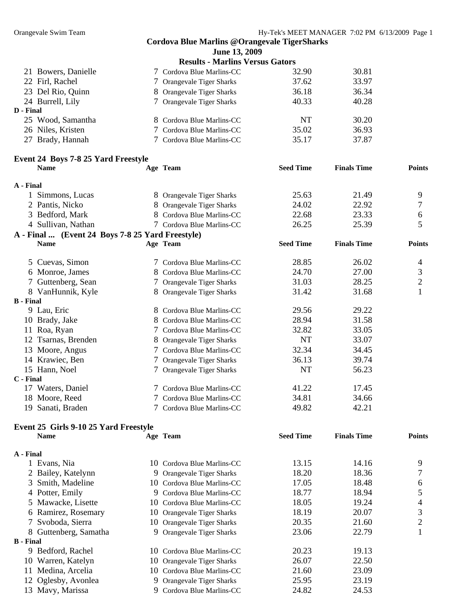|                  |                                                  | <b>Cordova Blue Marlins @Orangevale TigerSharks</b> |                  |                    |                |
|------------------|--------------------------------------------------|-----------------------------------------------------|------------------|--------------------|----------------|
|                  |                                                  | June 13, 2009                                       |                  |                    |                |
|                  |                                                  | <b>Results - Marlins Versus Gators</b>              |                  |                    |                |
|                  | 21 Bowers, Danielle                              | 7 Cordova Blue Marlins-CC                           | 32.90            | 30.81              |                |
|                  | 22 Firl, Rachel                                  | 7 Orangevale Tiger Sharks                           | 37.62            | 33.97              |                |
|                  | 23 Del Rio, Quinn                                | 8 Orangevale Tiger Sharks                           | 36.18            | 36.34              |                |
|                  | 24 Burrell, Lily                                 | 7 Orangevale Tiger Sharks                           | 40.33            | 40.28              |                |
| D - Final        |                                                  |                                                     |                  |                    |                |
|                  | 25 Wood, Samantha                                | 8 Cordova Blue Marlins-CC                           | NT               | 30.20              |                |
|                  | 26 Niles, Kristen                                | 7 Cordova Blue Marlins-CC                           | 35.02            | 36.93              |                |
|                  | 27 Brady, Hannah                                 | 7 Cordova Blue Marlins-CC                           | 35.17            | 37.87              |                |
|                  | Event 24 Boys 7-8 25 Yard Freestyle              |                                                     |                  |                    |                |
|                  | <b>Name</b>                                      | Age Team                                            | <b>Seed Time</b> | <b>Finals Time</b> | <b>Points</b>  |
| A - Final        |                                                  |                                                     |                  |                    |                |
|                  | 1 Simmons, Lucas                                 | 8 Orangevale Tiger Sharks                           | 25.63            | 21.49              | 9              |
|                  | 2 Pantis, Nicko                                  | 8 Orangevale Tiger Sharks                           | 24.02            | 22.92              | 7              |
|                  | 3 Bedford, Mark                                  | 8 Cordova Blue Marlins-CC                           | 22.68            | 23.33              | 6              |
|                  | 4 Sullivan, Nathan                               | 7 Cordova Blue Marlins-CC                           | 26.25            | 25.39              | 5              |
|                  | A - Final  (Event 24 Boys 7-8 25 Yard Freestyle) |                                                     |                  |                    |                |
|                  | <b>Name</b>                                      | Age Team                                            | <b>Seed Time</b> | <b>Finals Time</b> | <b>Points</b>  |
|                  | 5 Cuevas, Simon                                  | 7 Cordova Blue Marlins-CC                           | 28.85            | 26.02              | $\overline{4}$ |
|                  | 6 Monroe, James                                  | 8 Cordova Blue Marlins-CC                           | 24.70            | 27.00              | 3              |
|                  | 7 Guttenberg, Sean                               | 7 Orangevale Tiger Sharks                           | 31.03            | 28.25              | $\overline{2}$ |
|                  | 8 VanHunnik, Kyle                                | 8 Orangevale Tiger Sharks                           | 31.42            | 31.68              | 1              |
| <b>B</b> - Final |                                                  |                                                     |                  |                    |                |
|                  | 9 Lau, Eric                                      | 8 Cordova Blue Marlins-CC                           | 29.56            | 29.22              |                |
|                  | 10 Brady, Jake                                   | 8 Cordova Blue Marlins-CC                           | 28.94            | 31.58              |                |
|                  | 11 Roa, Ryan                                     | 7 Cordova Blue Marlins-CC                           | 32.82            | 33.05              |                |
|                  | 12 Tsarnas, Brenden                              | 8 Orangevale Tiger Sharks                           | <b>NT</b>        | 33.07              |                |
|                  | 13 Moore, Angus                                  | 7 Cordova Blue Marlins-CC                           | 32.34            | 34.45              |                |
|                  | 14 Krawiec, Ben                                  | 7 Orangevale Tiger Sharks                           | 36.13            | 39.74              |                |
|                  | 15 Hann, Noel                                    | 7 Orangevale Tiger Sharks                           | <b>NT</b>        | 56.23              |                |
| C - Final        |                                                  |                                                     |                  |                    |                |
|                  | 17 Waters, Daniel                                | 7 Cordova Blue Marlins-CC                           | 41.22            | 17.45              |                |
| 18               | Moore, Reed                                      | 7 Cordova Blue Marlins-CC                           | 34.81            | 34.66              |                |
| 19               | Sanati, Braden                                   | Cordova Blue Marlins-CC                             | 49.82            | 42.21              |                |
|                  | Event 25 Girls 9-10 25 Yard Freestyle            |                                                     |                  |                    |                |
|                  | <b>Name</b>                                      | Age Team                                            | <b>Seed Time</b> | <b>Finals Time</b> | <b>Points</b>  |
| A - Final        |                                                  |                                                     |                  |                    |                |
|                  | 1 Evans, Nia                                     | 10 Cordova Blue Marlins-CC                          | 13.15            | 14.16              | 9              |
|                  | 2 Bailey, Katelynn                               | 9 Orangevale Tiger Sharks                           | 18.20            | 18.36              | 7              |
| 3                | Smith, Madeline                                  | 10 Cordova Blue Marlins-CC                          | 17.05            | 18.48              | 6              |
|                  | 4 Potter, Emily                                  | 9 Cordova Blue Marlins-CC                           | 18.77            | 18.94              | 5              |
| 5                | Mawacke, Lisette                                 | 10 Cordova Blue Marlins-CC                          | 18.05            | 19.24              | 4              |
|                  | 6 Ramirez, Rosemary                              | 10 Orangevale Tiger Sharks                          | 18.19            | 20.07              | 3              |
|                  | Svoboda, Sierra                                  | 10 Orangevale Tiger Sharks                          | 20.35            | 21.60              | 2              |
|                  | 8 Guttenberg, Samatha                            | 9 Orangevale Tiger Sharks                           | 23.06            | 22.79              | 1              |
| <b>B</b> - Final |                                                  |                                                     |                  |                    |                |
|                  | 9 Bedford, Rachel                                | 10 Cordova Blue Marlins-CC                          | 20.23            | 19.13              |                |
|                  | 10 Warren, Katelyn                               | 10 Orangevale Tiger Sharks                          | 26.07            | 22.50              |                |
|                  | 11 Medina, Arcelia                               | 10 Cordova Blue Marlins-CC                          | 21.60            | 23.09              |                |
|                  | 12 Oglesby, Avonlea                              | 9 Orangevale Tiger Sharks                           | 25.95            | 23.19              |                |
|                  | 13 Mavy, Marissa                                 | 9 Cordova Blue Marlins-CC                           | 24.82            | 24.53              |                |
|                  |                                                  |                                                     |                  |                    |                |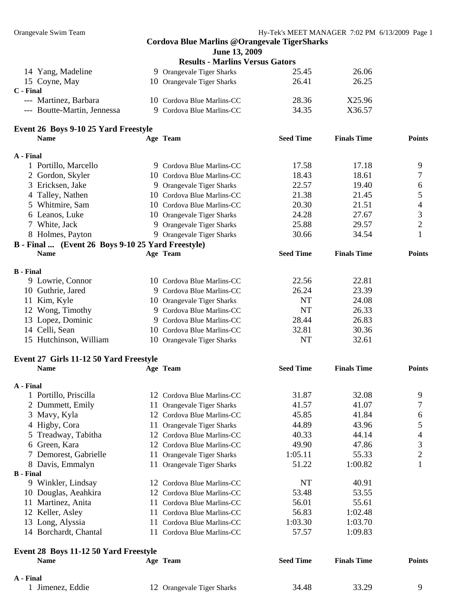|                  |                                                       | <b>Cordova Blue Marlins @Orangevale TigerSharks</b> |                  |                    |                |
|------------------|-------------------------------------------------------|-----------------------------------------------------|------------------|--------------------|----------------|
|                  |                                                       | June 13, 2009                                       |                  |                    |                |
|                  |                                                       | <b>Results - Marlins Versus Gators</b>              |                  |                    |                |
|                  | 14 Yang, Madeline                                     | 9 Orangevale Tiger Sharks                           | 25.45            | 26.06              |                |
|                  | 15 Coyne, May                                         | 10 Orangevale Tiger Sharks                          | 26.41            | 26.25              |                |
| C - Final        |                                                       |                                                     |                  |                    |                |
|                  | --- Martinez, Barbara                                 | 10 Cordova Blue Marlins-CC                          | 28.36            | X25.96             |                |
|                  | --- Boutte-Martin, Jennessa                           | 9 Cordova Blue Marlins-CC                           | 34.35            | X36.57             |                |
|                  |                                                       |                                                     |                  |                    |                |
|                  | Event 26 Boys 9-10 25 Yard Freestyle                  |                                                     |                  |                    |                |
|                  | <b>Name</b>                                           | Age Team                                            | <b>Seed Time</b> | <b>Finals Time</b> | <b>Points</b>  |
| A - Final        |                                                       |                                                     |                  |                    |                |
|                  | 1 Portillo, Marcello                                  | 9 Cordova Blue Marlins-CC                           | 17.58            | 17.18              | 9              |
|                  | 2 Gordon, Skyler                                      | 10 Cordova Blue Marlins-CC                          | 18.43            | 18.61              | 7              |
|                  | 3 Ericksen, Jake                                      | 9 Orangevale Tiger Sharks                           | 22.57            | 19.40              | 6              |
|                  | 4 Talley, Nathen                                      | 10 Cordova Blue Marlins-CC                          | 21.38            | 21.45              | 5              |
|                  | 5 Whitmire, Sam                                       | 10 Cordova Blue Marlins-CC                          | 20.30            | 21.51              | 4              |
|                  | 6 Leanos, Luke                                        | 10 Orangevale Tiger Sharks                          | 24.28            | 27.67              | 3              |
|                  | 7 White, Jack                                         | 9 Orangevale Tiger Sharks                           | 25.88            | 29.57              | $\overline{2}$ |
|                  | 8 Holmes, Payton                                      | 9 Orangevale Tiger Sharks                           | 30.66            | 34.54              | 1              |
|                  | B - Final  (Event 26 Boys 9-10 25 Yard Freestyle)     |                                                     |                  |                    |                |
|                  | <b>Name</b>                                           | Age Team                                            | <b>Seed Time</b> | <b>Finals Time</b> | <b>Points</b>  |
|                  |                                                       |                                                     |                  |                    |                |
| <b>B</b> - Final |                                                       |                                                     |                  |                    |                |
|                  | 9 Lowrie, Connor                                      | 10 Cordova Blue Marlins-CC                          | 22.56            | 22.81              |                |
|                  | 10 Guthrie, Jared                                     | 9 Cordova Blue Marlins-CC                           | 26.24            | 23.39              |                |
|                  | 11 Kim, Kyle                                          | 10 Orangevale Tiger Sharks                          | <b>NT</b>        | 24.08              |                |
|                  | 12 Wong, Timothy                                      | 9 Cordova Blue Marlins-CC                           | <b>NT</b>        | 26.33              |                |
|                  | 13 Lopez, Dominic                                     | 9 Cordova Blue Marlins-CC                           | 28.44            | 26.83              |                |
|                  | 14 Celli, Sean                                        | 10 Cordova Blue Marlins-CC                          | 32.81            | 30.36              |                |
|                  | 15 Hutchinson, William                                | 10 Orangevale Tiger Sharks                          | <b>NT</b>        | 32.61              |                |
|                  |                                                       |                                                     |                  |                    |                |
|                  | Event 27 Girls 11-12 50 Yard Freestyle<br><b>Name</b> | Age Team                                            | <b>Seed Time</b> | <b>Finals Time</b> | <b>Points</b>  |
|                  |                                                       |                                                     |                  |                    |                |
| A - Final        |                                                       |                                                     |                  |                    |                |
|                  | 1 Portillo, Priscilla                                 | 12 Cordova Blue Marlins-CC                          | 31.87            | 32.08              | 9              |
|                  | 2 Dummett, Emily                                      | 11 Orangevale Tiger Sharks                          | 41.57            | 41.07              | 7              |
|                  | 3 Mavy, Kyla                                          | 12 Cordova Blue Marlins-CC                          | 45.85            | 41.84              | 6              |
|                  | 4 Higby, Cora<br>11 <sup>1</sup>                      | <b>Orangevale Tiger Sharks</b>                      | 44.89            | 43.96              | 5              |
|                  | 5 Treadway, Tabitha                                   | 12 Cordova Blue Marlins-CC                          | 40.33            | 44.14              | 4              |
|                  | 6 Green, Kara                                         | 12 Cordova Blue Marlins-CC                          | 49.90            | 47.86              | 3              |
|                  | 7 Demorest, Gabrielle<br>11.                          | <b>Orangevale Tiger Sharks</b>                      | 1:05.11          | 55.33              | $\overline{c}$ |
|                  | 8 Davis, Emmalyn                                      | 11 Orangevale Tiger Sharks                          | 51.22            | 1:00.82            | $\mathbf{1}$   |
| <b>B</b> - Final |                                                       |                                                     |                  |                    |                |
|                  | 9 Winkler, Lindsay                                    | 12 Cordova Blue Marlins-CC                          | NT               | 40.91              |                |
|                  | 10 Douglas, Aeahkira                                  | 12 Cordova Blue Marlins-CC                          | 53.48            | 53.55              |                |
|                  | 11 Martinez, Anita                                    | 11 Cordova Blue Marlins-CC                          | 56.01            | 55.61              |                |
|                  | 12 Keller, Asley<br>11.                               | Cordova Blue Marlins-CC                             | 56.83            | 1:02.48            |                |
|                  | 13 Long, Alyssia                                      | 11 Cordova Blue Marlins-CC                          | 1:03.30          | 1:03.70            |                |
|                  | 14 Borchardt, Chantal                                 | 11 Cordova Blue Marlins-CC                          | 57.57            | 1:09.83            |                |
|                  |                                                       |                                                     |                  |                    |                |
|                  | Event 28 Boys 11-12 50 Yard Freestyle                 |                                                     |                  |                    |                |
|                  | <b>Name</b>                                           | Age Team                                            | <b>Seed Time</b> | <b>Finals Time</b> | <b>Points</b>  |
| A - Final        |                                                       |                                                     |                  |                    |                |
|                  | 1 Jimenez, Eddie                                      | 12 Orangevale Tiger Sharks                          | 34.48            | 33.29              | 9              |
|                  |                                                       |                                                     |                  |                    |                |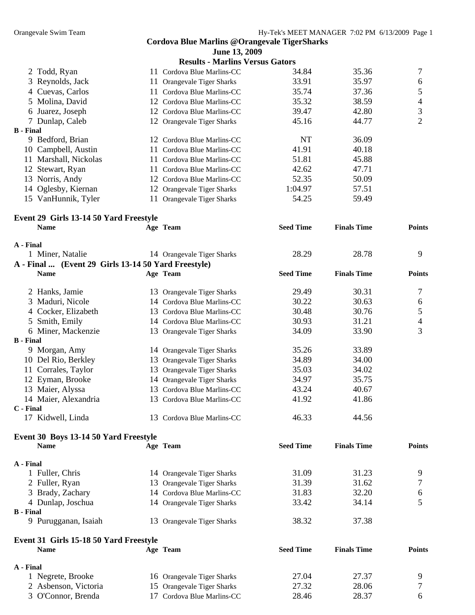|                  |                                                       | <b>Cordova Blue Marlins @Orangevale TigerSharks</b> |                  |                    |                  |
|------------------|-------------------------------------------------------|-----------------------------------------------------|------------------|--------------------|------------------|
|                  |                                                       | June 13, 2009                                       |                  |                    |                  |
|                  |                                                       | <b>Results - Marlins Versus Gators</b>              |                  |                    |                  |
|                  | 2 Todd, Ryan                                          | 11 Cordova Blue Marlins-CC                          | 34.84            | 35.36              | 7                |
| 3                | Reynolds, Jack<br>11                                  | Orangevale Tiger Sharks                             | 33.91            | 35.97              | $\boldsymbol{6}$ |
|                  | 4 Cuevas, Carlos                                      | 11 Cordova Blue Marlins-CC                          | 35.74            | 37.36              | 5                |
| 5.               | Molina, David                                         | 12 Cordova Blue Marlins-CC                          | 35.32            | 38.59              | 4                |
|                  | 6 Juarez, Joseph                                      | 12 Cordova Blue Marlins-CC                          | 39.47            | 42.80              | 3                |
|                  | 7 Dunlap, Caleb                                       | 12 Orangevale Tiger Sharks                          | 45.16            | 44.77              | $\overline{2}$   |
| <b>B</b> - Final |                                                       |                                                     |                  |                    |                  |
|                  | 9 Bedford, Brian                                      | 12 Cordova Blue Marlins-CC                          | <b>NT</b>        | 36.09              |                  |
|                  | 10 Campbell, Austin                                   | 11 Cordova Blue Marlins-CC                          | 41.91            | 40.18              |                  |
|                  | 11 Marshall, Nickolas                                 | 11 Cordova Blue Marlins-CC                          | 51.81            | 45.88              |                  |
|                  | 12 Stewart, Ryan                                      | 11 Cordova Blue Marlins-CC                          | 42.62            | 47.71              |                  |
|                  | 13 Norris, Andy                                       | 12 Cordova Blue Marlins-CC                          | 52.35            | 50.09              |                  |
|                  | 14 Oglesby, Kiernan                                   | 12 Orangevale Tiger Sharks                          | 1:04.97          | 57.51              |                  |
|                  | 15 VanHunnik, Tyler                                   | 11 Orangevale Tiger Sharks                          | 54.25            | 59.49              |                  |
|                  |                                                       |                                                     |                  |                    |                  |
|                  | Event 29 Girls 13-14 50 Yard Freestyle                |                                                     |                  |                    |                  |
|                  | <b>Name</b>                                           | Age Team                                            | <b>Seed Time</b> | <b>Finals Time</b> | <b>Points</b>    |
|                  |                                                       |                                                     |                  |                    |                  |
| A - Final        |                                                       |                                                     |                  |                    |                  |
|                  | 1 Miner, Natalie                                      | 14 Orangevale Tiger Sharks                          | 28.29            | 28.78              | 9                |
|                  | A - Final  (Event 29 Girls 13-14 50 Yard Freestyle)   |                                                     |                  |                    |                  |
|                  | <b>Name</b>                                           | Age Team                                            | <b>Seed Time</b> | <b>Finals Time</b> | <b>Points</b>    |
|                  |                                                       |                                                     |                  |                    |                  |
|                  | 2 Hanks, Jamie                                        | 13 Orangevale Tiger Sharks                          | 29.49            | 30.31              | 7                |
| 3                | Maduri, Nicole                                        | 14 Cordova Blue Marlins-CC                          | 30.22            | 30.63              | 6                |
|                  | 4 Cocker, Elizabeth                                   | 13 Cordova Blue Marlins-CC                          | 30.48            | 30.76              | 5                |
|                  | 5 Smith, Emily                                        | 14 Cordova Blue Marlins-CC                          | 30.93            | 31.21              | 4                |
|                  | 6 Miner, Mackenzie                                    | 13 Orangevale Tiger Sharks                          | 34.09            | 33.90              | 3                |
| <b>B</b> - Final |                                                       |                                                     |                  |                    |                  |
|                  | 9 Morgan, Amy                                         | 14 Orangevale Tiger Sharks                          | 35.26            | 33.89              |                  |
|                  | 10 Del Rio, Berkley                                   | 13 Orangevale Tiger Sharks                          | 34.89            | 34.00              |                  |
|                  | 11 Corrales, Taylor                                   | 13 Orangevale Tiger Sharks                          | 35.03            | 34.02              |                  |
|                  | 12 Eyman, Brooke                                      | 14 Orangevale Tiger Sharks                          | 34.97            | 35.75              |                  |
|                  | 13 Maier, Alyssa                                      | 13 Cordova Blue Marlins-CC                          | 43.24            | 40.67              |                  |
|                  | 14 Maier, Alexandria                                  | 13 Cordova Blue Marlins-CC                          | 41.92            | 41.86              |                  |
| C - Final        |                                                       |                                                     |                  |                    |                  |
|                  | 17 Kidwell, Linda                                     | 13 Cordova Blue Marlins-CC                          | 46.33            | 44.56              |                  |
|                  | Event 30 Boys 13-14 50 Yard Freestyle                 |                                                     |                  |                    |                  |
|                  | <b>Name</b>                                           | Age Team                                            | <b>Seed Time</b> | <b>Finals Time</b> | <b>Points</b>    |
|                  |                                                       |                                                     |                  |                    |                  |
| A - Final        |                                                       |                                                     |                  |                    |                  |
|                  | 1 Fuller, Chris                                       | 14 Orangevale Tiger Sharks                          | 31.09            | 31.23              | 9                |
|                  | 2 Fuller, Ryan                                        | 13 Orangevale Tiger Sharks                          | 31.39            | 31.62              | 7                |
|                  | 3 Brady, Zachary                                      | 14 Cordova Blue Marlins-CC                          | 31.83            | 32.20              | 6                |
|                  | 4 Dunlap, Joschua                                     | 14 Orangevale Tiger Sharks                          | 33.42            | 34.14              | 5                |
| <b>B</b> - Final |                                                       |                                                     |                  |                    |                  |
|                  | 9 Purugganan, Isaiah                                  | 13 Orangevale Tiger Sharks                          | 38.32            | 37.38              |                  |
|                  |                                                       |                                                     |                  |                    |                  |
|                  | Event 31 Girls 15-18 50 Yard Freestyle<br><b>Name</b> | Age Team                                            | <b>Seed Time</b> | <b>Finals Time</b> | <b>Points</b>    |
|                  |                                                       |                                                     |                  |                    |                  |
| A - Final        |                                                       |                                                     | 27.04            | 27.37              | 9                |
|                  | 1 Negrete, Brooke                                     | 16 Orangevale Tiger Sharks                          | 27.32            | 28.06              | 7                |
|                  | 2 Asbenson, Victoria                                  | 15 Orangevale Tiger Sharks                          |                  |                    |                  |
|                  | 3 O'Connor, Brenda                                    | 17 Cordova Blue Marlins-CC                          | 28.46            | 28.37              | 6                |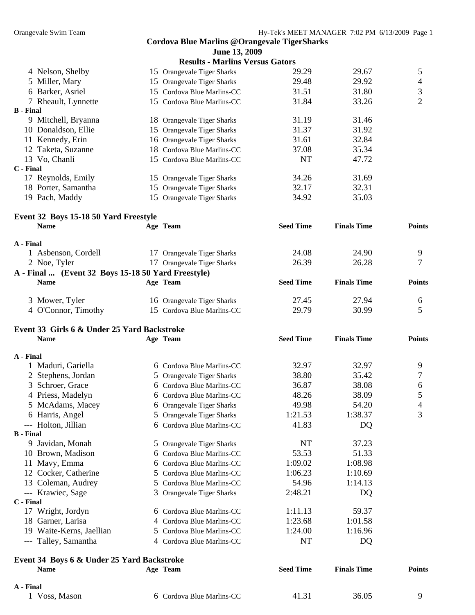|                  |                                                                   | <b>Cordova Blue Marlins @Orangevale TigerSharks</b> |                  |                    |                |
|------------------|-------------------------------------------------------------------|-----------------------------------------------------|------------------|--------------------|----------------|
|                  |                                                                   | June 13, 2009                                       |                  |                    |                |
|                  |                                                                   | <b>Results - Marlins Versus Gators</b>              |                  |                    |                |
|                  | 4 Nelson, Shelby                                                  | 15 Orangevale Tiger Sharks                          | 29.29            | 29.67              | 5              |
|                  | 5 Miller, Mary                                                    | 15 Orangevale Tiger Sharks                          | 29.48            | 29.92              | $\overline{4}$ |
|                  | 6 Barker, Asriel                                                  | 15 Cordova Blue Marlins-CC                          | 31.51            | 31.80              | $\mathfrak 3$  |
|                  | 7 Rheault, Lynnette                                               | 15 Cordova Blue Marlins-CC                          | 31.84            | 33.26              | $\overline{2}$ |
| <b>B</b> - Final |                                                                   |                                                     |                  |                    |                |
|                  | 9 Mitchell, Bryanna                                               | 18 Orangevale Tiger Sharks                          | 31.19            | 31.46              |                |
|                  | 10 Donaldson, Ellie                                               | 15 Orangevale Tiger Sharks                          | 31.37            | 31.92              |                |
|                  | 11 Kennedy, Erin                                                  | 16 Orangevale Tiger Sharks                          | 31.61            | 32.84              |                |
|                  | 12 Taketa, Suzanne                                                | 18 Cordova Blue Marlins-CC                          | 37.08            | 35.34              |                |
|                  | 13 Vo, Chanli                                                     | 15 Cordova Blue Marlins-CC                          | <b>NT</b>        | 47.72              |                |
| C - Final        |                                                                   |                                                     |                  |                    |                |
|                  | 17 Reynolds, Emily                                                | 15 Orangevale Tiger Sharks                          | 34.26            | 31.69              |                |
|                  | 18 Porter, Samantha                                               | 15 Orangevale Tiger Sharks                          | 32.17            | 32.31              |                |
|                  |                                                                   |                                                     | 34.92            | 35.03              |                |
|                  | 19 Pach, Maddy                                                    | 15 Orangevale Tiger Sharks                          |                  |                    |                |
|                  |                                                                   |                                                     |                  |                    |                |
|                  | Event 32 Boys 15-18 50 Yard Freestyle<br><b>Name</b>              | Age Team                                            | <b>Seed Time</b> | <b>Finals Time</b> | <b>Points</b>  |
|                  |                                                                   |                                                     |                  |                    |                |
| A - Final        |                                                                   |                                                     |                  |                    |                |
|                  | 1 Asbenson, Cordell                                               | 17 Orangevale Tiger Sharks                          | 24.08            | 24.90              | 9              |
|                  | 2 Noe, Tyler                                                      | 17 Orangevale Tiger Sharks                          | 26.39            | 26.28              | 7              |
|                  |                                                                   |                                                     |                  |                    |                |
|                  | A - Final  (Event 32 Boys 15-18 50 Yard Freestyle)<br><b>Name</b> | Age Team                                            | <b>Seed Time</b> | <b>Finals Time</b> | <b>Points</b>  |
|                  |                                                                   |                                                     |                  |                    |                |
|                  | 3 Mower, Tyler                                                    | 16 Orangevale Tiger Sharks                          | 27.45            | 27.94              | 6              |
|                  | 4 O'Connor, Timothy                                               | 15 Cordova Blue Marlins-CC                          | 29.79            | 30.99              | 5              |
|                  |                                                                   |                                                     |                  |                    |                |
|                  | Event 33 Girls 6 & Under 25 Yard Backstroke                       |                                                     |                  |                    |                |
|                  | <b>Name</b>                                                       | Age Team                                            | <b>Seed Time</b> | <b>Finals Time</b> | <b>Points</b>  |
|                  |                                                                   |                                                     |                  |                    |                |
| A - Final        |                                                                   |                                                     |                  |                    |                |
|                  | 1 Maduri, Gariella                                                | 6 Cordova Blue Marlins-CC                           | 32.97            | 32.97              | 9              |
|                  | 2 Stephens, Jordan                                                | 5 Orangevale Tiger Sharks                           | 38.80            | 35.42              | $\overline{7}$ |
|                  | 3 Schroer, Grace                                                  | 6 Cordova Blue Marlins-CC                           | 36.87            | 38.08              | 6              |
|                  | 4 Priess, Madelyn                                                 |                                                     | 48.26            | 38.09              |                |
|                  |                                                                   | 6 Cordova Blue Marlins-CC                           |                  |                    | 5              |
|                  | 5 McAdams, Macey                                                  | 6 Orangevale Tiger Sharks                           | 49.98            | 54.20              | 4              |
|                  | 6 Harris, Angel                                                   | 5 Orangevale Tiger Sharks                           | 1:21.53          | 1:38.37            | 3              |
|                  | --- Holton, Jillian                                               | 6 Cordova Blue Marlins-CC                           | 41.83            | DQ                 |                |
| B - Final        |                                                                   |                                                     |                  |                    |                |
|                  | 9 Javidan, Monah                                                  | 5 Orangevale Tiger Sharks                           | NT               | 37.23              |                |
|                  | 10 Brown, Madison                                                 | 6 Cordova Blue Marlins-CC                           | 53.53            | 51.33              |                |
|                  | 11 Mavy, Emma                                                     | 6 Cordova Blue Marlins-CC                           | 1:09.02          | 1:08.98            |                |
|                  | 12 Cocker, Catherine                                              | 5 Cordova Blue Marlins-CC                           | 1:06.23          | 1:10.69            |                |
|                  | 13 Coleman, Audrey                                                | 5 Cordova Blue Marlins-CC                           | 54.96            | 1:14.13            |                |
|                  | --- Krawiec, Sage                                                 | 3 Orangevale Tiger Sharks                           | 2:48.21          | DQ                 |                |
| C - Final        |                                                                   |                                                     |                  |                    |                |
|                  | 17 Wright, Jordyn                                                 | 6 Cordova Blue Marlins-CC                           | 1:11.13          | 59.37              |                |
|                  | 18 Garner, Larisa                                                 | 4 Cordova Blue Marlins-CC                           | 1:23.68          | 1:01.58            |                |
|                  | 19 Waite-Kerns, Jaellian                                          | 5 Cordova Blue Marlins-CC                           | 1:24.00          | 1:16.96            |                |
|                  | --- Talley, Samantha                                              | 4 Cordova Blue Marlins-CC                           | NT               | DQ                 |                |
|                  |                                                                   |                                                     |                  |                    |                |
|                  | Event 34 Boys 6 & Under 25 Yard Backstroke                        |                                                     |                  |                    |                |
|                  | <b>Name</b>                                                       | Age Team                                            | <b>Seed Time</b> | <b>Finals Time</b> | <b>Points</b>  |
|                  |                                                                   |                                                     |                  |                    |                |
| A - Final        |                                                                   |                                                     |                  |                    |                |
|                  | 1 Voss, Mason                                                     | 6 Cordova Blue Marlins-CC                           | 41.31            | 36.05              | 9              |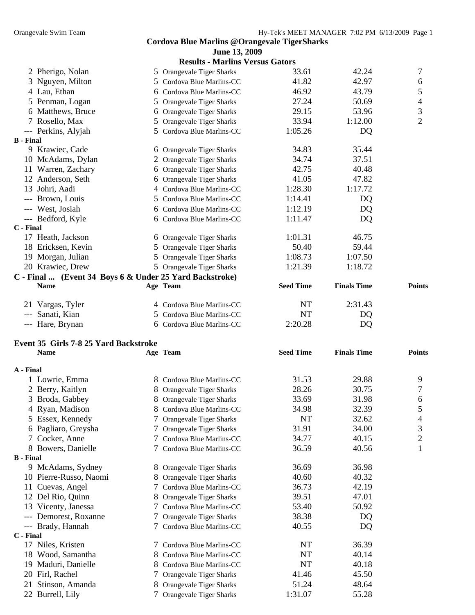| Cordova Blue Marlins @Orangevale TigerSharks |  |
|----------------------------------------------|--|
| <b>June 13, 2009</b>                         |  |
| <b>Results - Marlins Versus Gators</b>       |  |

|                  |                                                         | WSURS - MALINIS VULSUS GAWLS                              |                  |                    |                  |
|------------------|---------------------------------------------------------|-----------------------------------------------------------|------------------|--------------------|------------------|
|                  | 2 Pherigo, Nolan                                        | 5 Orangevale Tiger Sharks                                 | 33.61            | 42.24              | 7                |
|                  | 3 Nguyen, Milton                                        | 5 Cordova Blue Marlins-CC                                 | 41.82            | 42.97              | $\boldsymbol{6}$ |
|                  | 4 Lau, Ethan                                            | 6 Cordova Blue Marlins-CC                                 | 46.92            | 43.79              | 5                |
|                  | 5 Penman, Logan                                         | 5 Orangevale Tiger Sharks                                 | 27.24            | 50.69              | $\overline{4}$   |
|                  | 6 Matthews, Bruce                                       | 6 Orangevale Tiger Sharks                                 | 29.15            | 53.96              | 3                |
|                  | 7 Rosello, Max                                          | 5 Orangevale Tiger Sharks                                 | 33.94            | 1:12.00            | $\overline{2}$   |
|                  | --- Perkins, Alyjah                                     | 5 Cordova Blue Marlins-CC                                 | 1:05.26          | DQ                 |                  |
| <b>B</b> - Final |                                                         |                                                           |                  |                    |                  |
|                  | 9 Krawiec, Cade                                         | 6 Orangevale Tiger Sharks                                 | 34.83            | 35.44              |                  |
|                  | 10 McAdams, Dylan                                       | 2 Orangevale Tiger Sharks                                 | 34.74            | 37.51              |                  |
|                  | 11 Warren, Zachary                                      | 6 Orangevale Tiger Sharks                                 | 42.75            | 40.48              |                  |
|                  | 12 Anderson, Seth                                       | 6 Orangevale Tiger Sharks                                 | 41.05            | 47.82              |                  |
|                  | 13 Johri, Aadi                                          | 4 Cordova Blue Marlins-CC                                 | 1:28.30          | 1:17.72            |                  |
|                  | --- Brown, Louis                                        | 5 Cordova Blue Marlins-CC                                 | 1:14.41          | DQ                 |                  |
|                  | --- West, Josiah                                        | 6 Cordova Blue Marlins-CC                                 | 1:12.19          | DQ                 |                  |
|                  | --- Bedford, Kyle                                       | 6 Cordova Blue Marlins-CC                                 | 1:11.47          | DQ                 |                  |
| C - Final        |                                                         |                                                           |                  |                    |                  |
|                  | 17 Heath, Jackson                                       | 6 Orangevale Tiger Sharks                                 | 1:01.31          | 46.75              |                  |
|                  | 18 Ericksen, Kevin                                      | 5 Orangevale Tiger Sharks                                 | 50.40            | 59.44              |                  |
|                  | 19 Morgan, Julian                                       | 5 Orangevale Tiger Sharks                                 | 1:08.73          | 1:07.50            |                  |
|                  | 20 Krawiec, Drew                                        | 5 Orangevale Tiger Sharks                                 | 1:21.39          | 1:18.72            |                  |
|                  | C - Final  (Event 34 Boys 6 & Under 25 Yard Backstroke) |                                                           |                  |                    |                  |
|                  | <b>Name</b>                                             | Age Team                                                  | <b>Seed Time</b> | <b>Finals Time</b> | <b>Points</b>    |
|                  |                                                         |                                                           |                  |                    |                  |
|                  | 21 Vargas, Tyler                                        | 4 Cordova Blue Marlins-CC                                 | NT               | 2:31.43            |                  |
|                  | --- Sanati, Kian                                        | 5 Cordova Blue Marlins-CC                                 | NT               | DQ                 |                  |
|                  | --- Hare, Brynan                                        | 6 Cordova Blue Marlins-CC                                 | 2:20.28          | DQ                 |                  |
|                  |                                                         |                                                           |                  |                    |                  |
|                  |                                                         |                                                           |                  |                    |                  |
|                  | Event 35 Girls 7-8 25 Yard Backstroke                   |                                                           |                  |                    |                  |
|                  | <b>Name</b>                                             | Age Team                                                  | <b>Seed Time</b> | <b>Finals Time</b> | <b>Points</b>    |
|                  |                                                         |                                                           |                  |                    |                  |
| A - Final        |                                                         |                                                           |                  |                    |                  |
|                  | 1 Lowrie, Emma                                          | 8 Cordova Blue Marlins-CC                                 | 31.53            | 29.88              | 9                |
|                  | 2 Berry, Kaitlyn                                        | 8 Orangevale Tiger Sharks                                 | 28.26            | 30.75              | 7                |
|                  | 3 Broda, Gabbey                                         | 8 Orangevale Tiger Sharks                                 | 33.69            | 31.98              | $\sqrt{6}$       |
|                  | 4 Ryan, Madison                                         | 8 Cordova Blue Marlins-CC                                 | 34.98            | 32.39              | 5                |
|                  | 5 Essex, Kennedy                                        | 7 Orangevale Tiger Sharks                                 | NT               | 32.62              | 4                |
| 6                | Pagliaro, Greysha<br>$\mathcal{L}$                      | Orangevale Tiger Sharks                                   | 31.91            | 34.00              | 3                |
| 7                | Cocker, Anne<br>7                                       | Cordova Blue Marlins-CC                                   | 34.77            | 40.15              | $\overline{c}$   |
|                  | 8 Bowers, Danielle                                      | Cordova Blue Marlins-CC                                   | 36.59            | 40.56              | 1                |
| <b>B</b> - Final |                                                         |                                                           |                  |                    |                  |
|                  | 9 McAdams, Sydney                                       | 8 Orangevale Tiger Sharks                                 | 36.69            | 36.98              |                  |
|                  | 10 Pierre-Russo, Naomi                                  | 8 Orangevale Tiger Sharks                                 | 40.60            | 40.32              |                  |
|                  | 11 Cuevas, Angel                                        | 7 Cordova Blue Marlins-CC                                 | 36.73            | 42.19              |                  |
|                  | 12 Del Rio, Quinn<br>8                                  | <b>Orangevale Tiger Sharks</b>                            | 39.51            | 47.01              |                  |
| 13               | Vicenty, Janessa                                        | 7 Cordova Blue Marlins-CC                                 | 53.40            | 50.92              |                  |
|                  | --- Demorest, Roxanne<br>$\mathcal{L}$                  | 7 Orangevale Tiger Sharks                                 | 38.38            | DQ                 |                  |
| C - Final        | --- Brady, Hannah                                       | Cordova Blue Marlins-CC                                   | 40.55            | DQ                 |                  |
|                  | 17 Niles, Kristen                                       | 7 Cordova Blue Marlins-CC                                 | NT               | 36.39              |                  |
| 18               | Wood, Samantha<br>8.                                    | Cordova Blue Marlins-CC                                   | NT               | 40.14              |                  |
| 19               | Maduri, Danielle<br>8.                                  | Cordova Blue Marlins-CC                                   | NT               | 40.18              |                  |
|                  | 20 Firl, Rachel<br>Τ                                    | Orangevale Tiger Sharks                                   | 41.46            | 45.50              |                  |
|                  | 21 Stinson, Amanda<br>8                                 |                                                           | 51.24            | 48.64              |                  |
|                  | 22 Burrell, Lily<br>$\mathcal{L}$                       | Orangevale Tiger Sharks<br><b>Orangevale Tiger Sharks</b> | 1:31.07          | 55.28              |                  |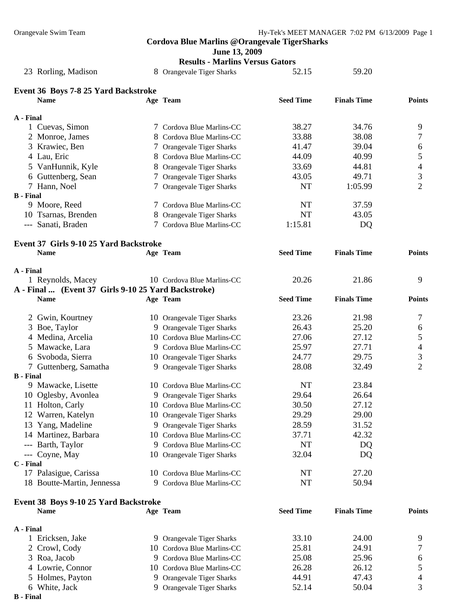**B - Final** 

**B - Final** 

### **Cordova Blue Marlins @Orangevale TigerSharks**

|                                                     |    | June 13, 2009<br><b>Results - Marlins Versus Gators</b> |                  |                    |                          |  |
|-----------------------------------------------------|----|---------------------------------------------------------|------------------|--------------------|--------------------------|--|
| 23 Rorling, Madison                                 |    | 8 Orangevale Tiger Sharks                               | 52.15            | 59.20              |                          |  |
| Event 36 Boys 7-8 25 Yard Backstroke                |    |                                                         |                  |                    |                          |  |
| <b>Name</b>                                         |    | Age Team                                                | <b>Seed Time</b> | <b>Finals Time</b> | <b>Points</b>            |  |
| A - Final                                           |    |                                                         |                  |                    |                          |  |
| 1 Cuevas, Simon                                     |    | 7 Cordova Blue Marlins-CC                               | 38.27            | 34.76              | 9                        |  |
| 2 Monroe, James                                     |    | 8 Cordova Blue Marlins-CC                               | 33.88            | 38.08              | 7                        |  |
| 3 Krawiec, Ben                                      |    | 7 Orangevale Tiger Sharks                               | 41.47            | 39.04              | 6                        |  |
| 4 Lau, Eric                                         |    | 8 Cordova Blue Marlins-CC                               | 44.09            | 40.99              | $\mathfrak s$            |  |
| 5 VanHunnik, Kyle                                   |    | 8 Orangevale Tiger Sharks                               | 33.69            | 44.81              | $\overline{\mathcal{A}}$ |  |
| 6 Guttenberg, Sean                                  |    | 7 Orangevale Tiger Sharks                               | 43.05            | 49.71              | 3                        |  |
| 7 Hann, Noel                                        |    | 7 Orangevale Tiger Sharks                               | <b>NT</b>        | 1:05.99            | $\overline{2}$           |  |
| <b>B</b> - Final                                    |    |                                                         |                  |                    |                          |  |
| 9 Moore, Reed                                       |    | 7 Cordova Blue Marlins-CC                               | NT               | 37.59              |                          |  |
| 10 Tsarnas, Brenden                                 |    | 8 Orangevale Tiger Sharks                               | <b>NT</b>        | 43.05              |                          |  |
| --- Sanati, Braden                                  |    | 7 Cordova Blue Marlins-CC                               | 1:15.81          | DQ                 |                          |  |
| Event 37 Girls 9-10 25 Yard Backstroke              |    |                                                         |                  |                    |                          |  |
| <b>Name</b>                                         |    | Age Team                                                | <b>Seed Time</b> | <b>Finals Time</b> | <b>Points</b>            |  |
| A - Final                                           |    |                                                         |                  |                    |                          |  |
| 1 Reynolds, Macey                                   |    | 10 Cordova Blue Marlins-CC                              | 20.26            | 21.86              | 9                        |  |
| A - Final  (Event 37 Girls 9-10 25 Yard Backstroke) |    |                                                         |                  |                    |                          |  |
| <b>Name</b>                                         |    | Age Team                                                | <b>Seed Time</b> | <b>Finals Time</b> | <b>Points</b>            |  |
| 2 Gwin, Kourtney                                    |    | 10 Orangevale Tiger Sharks                              | 23.26            | 21.98              | 7                        |  |
| 3 Boe, Taylor                                       |    | 9 Orangevale Tiger Sharks                               | 26.43            | 25.20              | 6                        |  |
| 4 Medina, Arcelia                                   |    | 10 Cordova Blue Marlins-CC                              | 27.06            | 27.12              | 5                        |  |
| 5 Mawacke, Lara                                     |    | 9 Cordova Blue Marlins-CC                               | 25.97            | 27.71              | 4                        |  |
| 6 Svoboda, Sierra                                   |    | 10 Orangevale Tiger Sharks                              | 24.77            | 29.75              | 3                        |  |
| 7 Guttenberg, Samatha                               |    | 9 Orangevale Tiger Sharks                               | 28.08            | 32.49              | $\overline{2}$           |  |
| <b>B</b> - Final                                    |    |                                                         |                  |                    |                          |  |
| 9 Mawacke, Lisette                                  |    | 10 Cordova Blue Marlins-CC                              | NT               | 23.84              |                          |  |
| 10 Oglesby, Avonlea                                 |    | 9 Orangevale Tiger Sharks                               | 29.64            | 26.64              |                          |  |
| 11 Holton, Carly                                    |    | 10 Cordova Blue Marlins-CC                              | 30.50            | 27.12              |                          |  |
| 12 Warren, Katelyn                                  |    | 10 Orangevale Tiger Sharks                              | 29.29            | 29.00              |                          |  |
| 13 Yang, Madeline                                   | 9  | <b>Orangevale Tiger Sharks</b>                          | 28.59            | 31.52              |                          |  |
| 14 Martinez, Barbara                                |    | 10 Cordova Blue Marlins-CC                              | 37.71            | 42.32              |                          |  |
| --- Barth, Taylor                                   | 9. | Cordova Blue Marlins-CC                                 | NT               | DQ                 |                          |  |
| --- Coyne, May                                      |    | 10 Orangevale Tiger Sharks                              | 32.04            | DQ                 |                          |  |
| C - Final                                           |    |                                                         |                  |                    |                          |  |
| 17 Palasigue, Carissa                               |    | 10 Cordova Blue Marlins-CC                              | NT               | 27.20              |                          |  |
| 18 Boutte-Martin, Jennessa                          | 9. | Cordova Blue Marlins-CC                                 | NT               | 50.94              |                          |  |
| Event 38 Boys 9-10 25 Yard Backstroke               |    |                                                         |                  |                    |                          |  |
| <b>Name</b>                                         |    | Age Team                                                | <b>Seed Time</b> | <b>Finals Time</b> | <b>Points</b>            |  |
| A - Final                                           |    |                                                         |                  |                    |                          |  |
| 1 Ericksen, Jake                                    |    | 9 Orangevale Tiger Sharks                               | 33.10            | 24.00              | 9                        |  |
| 2 Crowl, Cody                                       |    | 10 Cordova Blue Marlins-CC                              | 25.81            | 24.91              | 7                        |  |
| 3 Roa, Jacob                                        | 9  | Cordova Blue Marlins-CC                                 | 25.08            | 25.96              | 6                        |  |
| 4 Lowrie, Connor                                    |    | 10 Cordova Blue Marlins-CC                              | 26.28            | 26.12              | 5                        |  |
| 5 Holmes, Payton                                    | 9  | <b>Orangevale Tiger Sharks</b>                          | 44.91            | 47.43              | 4                        |  |
| 6 White, Jack                                       |    | 9 Orangevale Tiger Sharks                               | 52.14            | 50.04              | 3                        |  |
| <b>B</b> - Final                                    |    |                                                         |                  |                    |                          |  |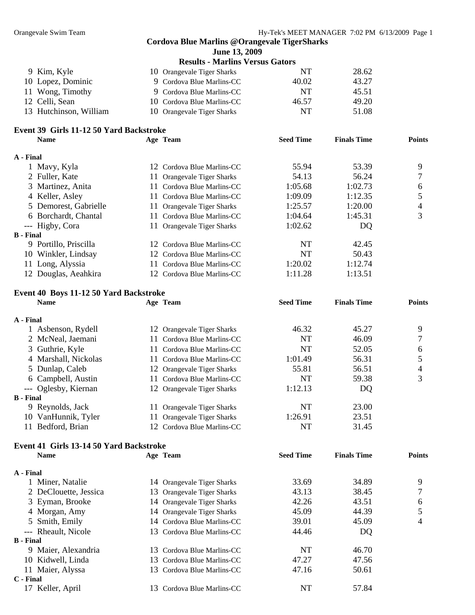|                  |                                         |    | June 13, 2009                          |                  |                    |               |
|------------------|-----------------------------------------|----|----------------------------------------|------------------|--------------------|---------------|
|                  |                                         |    | <b>Results - Marlins Versus Gators</b> |                  |                    |               |
|                  | 9 Kim, Kyle                             |    | 10 Orangevale Tiger Sharks             | NT               | 28.62              |               |
|                  | 10 Lopez, Dominic                       |    | 9 Cordova Blue Marlins-CC              | 40.02            | 43.27              |               |
|                  | 11 Wong, Timothy                        |    | 9 Cordova Blue Marlins-CC              | <b>NT</b>        | 45.51              |               |
|                  | 12 Celli, Sean                          | 10 | Cordova Blue Marlins-CC                | 46.57            | 49.20              |               |
|                  | 13 Hutchinson, William                  |    | 10 Orangevale Tiger Sharks             | <b>NT</b>        | 51.08              |               |
|                  | Event 39 Girls 11-12 50 Yard Backstroke |    |                                        |                  |                    |               |
|                  | <b>Name</b>                             |    | Age Team                               | <b>Seed Time</b> | <b>Finals Time</b> | <b>Points</b> |
| A - Final        |                                         |    |                                        |                  |                    |               |
|                  | 1 Mavy, Kyla                            |    | 12 Cordova Blue Marlins-CC             | 55.94            | 53.39              | 9             |
|                  | 2 Fuller, Kate                          |    | 11 Orangevale Tiger Sharks             | 54.13            | 56.24              | 7             |
|                  | 3 Martinez, Anita                       |    | 11 Cordova Blue Marlins-CC             | 1:05.68          | 1:02.73            | 6             |
|                  | 4 Keller, Asley                         |    | 11 Cordova Blue Marlins-CC             | 1:09.09          | 1:12.35            | 5             |
|                  | 5 Demorest, Gabrielle                   |    | 11 Orangevale Tiger Sharks             | 1:25.57          | 1:20.00            | 4             |
|                  | 6 Borchardt, Chantal                    |    | 11 Cordova Blue Marlins-CC             | 1:04.64          | 1:45.31            | 3             |
|                  | --- Higby, Cora                         |    | 11 Orangevale Tiger Sharks             | 1:02.62          | DQ                 |               |
| <b>B</b> - Final |                                         |    |                                        |                  |                    |               |
|                  | 9 Portillo, Priscilla                   |    | 12 Cordova Blue Marlins-CC             | NT               | 42.45              |               |
|                  | 10 Winkler, Lindsay                     |    | 12 Cordova Blue Marlins-CC             | <b>NT</b>        | 50.43              |               |
|                  | 11 Long, Alyssia                        |    | 11 Cordova Blue Marlins-CC             | 1:20.02          | 1:12.74            |               |
|                  | 12 Douglas, Aeahkira                    |    | 12 Cordova Blue Marlins-CC             | 1:11.28          | 1:13.51            |               |
|                  | Event 40 Boys 11-12 50 Yard Backstroke  |    |                                        |                  |                    |               |
|                  | <b>Name</b>                             |    | Age Team                               | <b>Seed Time</b> | <b>Finals Time</b> | <b>Points</b> |
| A - Final        |                                         |    |                                        |                  |                    |               |
|                  | 1 Asbenson, Rydell                      |    | 12 Orangevale Tiger Sharks             | 46.32            | 45.27              | 9             |
|                  | 2 McNeal, Jaemani                       |    | 11 Cordova Blue Marlins-CC             | <b>NT</b>        | 46.09              | 7             |
|                  | 3 Guthrie, Kyle                         |    | 11 Cordova Blue Marlins-CC             | <b>NT</b>        | 52.05              | 6             |
|                  | 4 Marshall, Nickolas                    |    | 11 Cordova Blue Marlins-CC             | 1:01.49          | 56.31              | 5             |
|                  | 5 Dunlap, Caleb                         |    | 12 Orangevale Tiger Sharks             | 55.81            | 56.51              | 4             |
|                  | 6 Campbell, Austin                      |    | 11 Cordova Blue Marlins-CC             | <b>NT</b>        | 59.38              | 3             |
|                  | --- Oglesby, Kiernan                    |    | 12 Orangevale Tiger Sharks             | 1:12.13          | DQ                 |               |
| B - Final        |                                         |    |                                        |                  |                    |               |
|                  | 9 Reynolds, Jack                        |    | 11 Orangevale Tiger Sharks             | NT               | 23.00              |               |
|                  | 10 VanHunnik, Tyler                     | 11 | <b>Orangevale Tiger Sharks</b>         | 1:26.91          | 23.51              |               |
|                  | 11 Bedford, Brian                       |    | 12 Cordova Blue Marlins-CC             | NT               | 31.45              |               |
|                  | Event 41 Girls 13-14 50 Yard Backstroke |    |                                        |                  |                    |               |
|                  | <b>Name</b>                             |    | Age Team                               | <b>Seed Time</b> | <b>Finals Time</b> | <b>Points</b> |
| A - Final        |                                         |    |                                        |                  |                    |               |
|                  | 1 Miner, Natalie                        |    | 14 Orangevale Tiger Sharks             | 33.69            | 34.89              | 9             |
|                  | 2 DeClouette, Jessica                   |    | 13 Orangevale Tiger Sharks             | 43.13            | 38.45              | 7             |
|                  | 3 Eyman, Brooke                         |    | 14 Orangevale Tiger Sharks             | 42.26            | 43.51              | 6             |
|                  | 4 Morgan, Amy                           |    | 14 Orangevale Tiger Sharks             | 45.09            | 44.39              | 5             |
| 5                | Smith, Emily                            |    | 14 Cordova Blue Marlins-CC             | 39.01            | 45.09              | 4             |
|                  | --- Rheault, Nicole                     |    | 13 Cordova Blue Marlins-CC             | 44.46            | DQ                 |               |
| <b>B</b> - Final |                                         |    |                                        |                  |                    |               |
|                  | 9 Maier, Alexandria                     |    | 13 Cordova Blue Marlins-CC             | NT               | 46.70              |               |
|                  | 10 Kidwell, Linda                       |    | 13 Cordova Blue Marlins-CC             | 47.27            | 47.56              |               |
|                  | 11 Maier, Alyssa                        |    | 13 Cordova Blue Marlins-CC             | 47.16            | 50.61              |               |
| C - Final        |                                         |    |                                        |                  |                    |               |
|                  | 17 Keller, April                        |    | 13 Cordova Blue Marlins-CC             | NT               | 57.84              |               |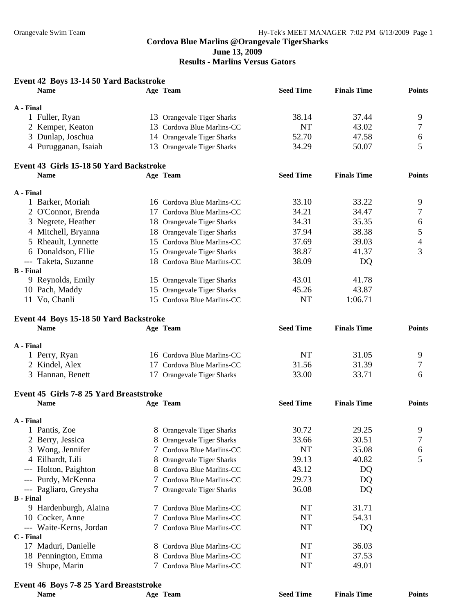### **Results - Marlins Versus Gators**

### **Event 42 Boys 13-14 50 Yard Backstroke Name Age Team Seed Time Finals Time Points A - Final**  1 Fuller, Ryan 13 Orangevale Tiger Sharks 38.14 37.44 9 2 Kemper, Keaton 13 Cordova Blue Marlins-CC NT 43.02 7 3 Dunlap, Joschua 14 Orangevale Tiger Sharks 52.70 47.58 6 4 Purugganan, Isaiah 13 Orangevale Tiger Sharks 34.29 50.07 5 **Event 43 Girls 15-18 50 Yard Backstroke Name Age Team Seed Time Finals Time Points A - Final**  1 Barker, Moriah 16 Cordova Blue Marlins-CC 33.10 33.22 9 2 O'Connor, Brenda 17 Cordova Blue Marlins-CC 34.21 34.47 7 3 Negrete, Heather 18 Orangevale Tiger Sharks 34.31 35.35 6 4 Mitchell, Bryanna 18 Orangevale Tiger Sharks 37.94 38.38 5 5 Rheault, Lynnette 15 Cordova Blue Marlins-CC 37.69 39.03 4 6 Donaldson, Ellie 15 Orangevale Tiger Sharks 38.87 41.37 3 --- Taketa, Suzanne 18 Cordova Blue Marlins-CC 38.09 DQ **B - Final**  9 Reynolds, Emily 15 Orangevale Tiger Sharks 43.01 41.78 10 Pach, Maddy 15 Orangevale Tiger Sharks 45.26 43.87 11 Vo, Chanli 15 Cordova Blue Marlins-CC NT 1:06.71 **Event 44 Boys 15-18 50 Yard Backstroke Name Age Team Seed Time Finals Time Points A - Final**  1 Perry, Ryan 16 Cordova Blue Marlins-CC 11 NT 31.05 9<br>2 Kindel Alex 17 Cordova Blue Marlins-CC 31.56 31.39 7 2 Kindel, Alex 17 Cordova Blue Marlins-CC 31.56 31.39 7 3 Hannan, Benett 17 Orangevale Tiger Sharks 33.00 33.71 6 **Event 45 Girls 7-8 25 Yard Breaststroke Name Age Team Seed Time Finals Time Points A - Final**  1 Pantis, Zoe 3 8 Orangevale Tiger Sharks 30.72 29.25 9 2 Berry, Jessica 8 Orangevale Tiger Sharks 33.66 30.51 7 3 Wong, Jennifer 7 Cordova Blue Marlins-CC NT 35.08 6 4 Eilhardt, Lili 8 Orangevale Tiger Sharks 39.13 40.82 5 --- Holton, Paighton 8 Cordova Blue Marlins-CC 43.12 DQ --- Purdy, McKenna 7 Cordova Blue Marlins-CC 29.73 DQ --- Pagliaro, Greysha 7 Orangevale Tiger Sharks 36.08 DQ **B - Final**  9 Hardenburgh, Alaina 7 Cordova Blue Marlins-CC NT 31.71 10 Cocker, Anne 7 Cordova Blue Marlins-CC NT 54.31 --- Waite-Kerns, Jordan 7 Cordova Blue Marlins-CC NT DQ **C - Final**  17 Maduri, Danielle 8 Cordova Blue Marlins-CC NT 36.03 18 Pennington, Emma 8 Cordova Blue Marlins-CC NT 37.53

## 19 Shupe, Marin 2001 7 Cordova Blue Marlins-CC 2001 19 NT 49.01

### **Event 46 Boys 7-8 25 Yard Breaststroke**

| <b>Name</b> | Age Team | <b>Seed Time</b> | <b>Finals Time</b> | <b>Points</b> |
|-------------|----------|------------------|--------------------|---------------|
|             |          |                  |                    |               |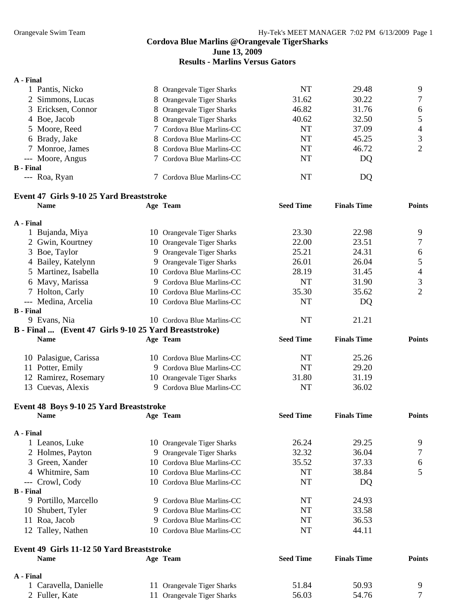**June 13, 2009** 

### **Results - Marlins Versus Gators**

#### **A - Final**

|                                                                                                                                                                                         | NT                                                                                                                                                                                                                                                                | 29.48 | 9              |
|-----------------------------------------------------------------------------------------------------------------------------------------------------------------------------------------|-------------------------------------------------------------------------------------------------------------------------------------------------------------------------------------------------------------------------------------------------------------------|-------|----------------|
|                                                                                                                                                                                         | 31.62                                                                                                                                                                                                                                                             | 30.22 | 7              |
|                                                                                                                                                                                         | 46.82                                                                                                                                                                                                                                                             | 31.76 | 6              |
|                                                                                                                                                                                         | 40.62                                                                                                                                                                                                                                                             | 32.50 | 5              |
|                                                                                                                                                                                         | NT                                                                                                                                                                                                                                                                | 37.09 | $\overline{4}$ |
|                                                                                                                                                                                         | NT                                                                                                                                                                                                                                                                | 45.25 | 3              |
|                                                                                                                                                                                         | NT                                                                                                                                                                                                                                                                | 46.72 | 2              |
|                                                                                                                                                                                         | NT                                                                                                                                                                                                                                                                | DQ    |                |
|                                                                                                                                                                                         |                                                                                                                                                                                                                                                                   |       |                |
|                                                                                                                                                                                         | NT                                                                                                                                                                                                                                                                | DO    |                |
| 1 Pantis, Nicko<br>2 Simmons, Lucas<br>3 Ericksen, Connor<br>4 Boe, Jacob<br>5 Moore, Reed<br>6 Brady, Jake<br>7 Monroe, James<br>--- Moore, Angus<br><b>B</b> - Final<br>--- Roa, Ryan | 8 Orangevale Tiger Sharks<br>8 Orangevale Tiger Sharks<br>8 Orangevale Tiger Sharks<br>8 Orangevale Tiger Sharks<br>7 Cordova Blue Marlins-CC<br>8 Cordova Blue Marlins-CC<br>8 Cordova Blue Marlins-CC<br>7 Cordova Blue Marlins-CC<br>7 Cordova Blue Marlins-CC |       |                |

### **Event 47 Girls 9-10 25 Yard Breaststroke**

|                  | нь з то до тага вгсазан ок<br><b>Name</b>             | Age Team                   | <b>Seed Time</b> | <b>Finals Time</b> | <b>Points</b>  |
|------------------|-------------------------------------------------------|----------------------------|------------------|--------------------|----------------|
| A - Final        |                                                       |                            |                  |                    |                |
|                  | 1 Bujanda, Miya                                       | 10 Orangevale Tiger Sharks | 23.30            | 22.98              | 9              |
|                  | 2 Gwin, Kourtney                                      | 10 Orangevale Tiger Sharks | 22.00            | 23.51              | 7              |
|                  | 3 Boe, Taylor                                         | 9 Orangevale Tiger Sharks  | 25.21            | 24.31              | 6              |
|                  | 4 Bailey, Katelynn                                    | 9 Orangevale Tiger Sharks  | 26.01            | 26.04              | 5              |
|                  | 5 Martinez, Isabella                                  | 10 Cordova Blue Marlins-CC | 28.19            | 31.45              | 4              |
|                  | 6 Mavy, Marissa                                       | 9 Cordova Blue Marlins-CC  | <b>NT</b>        | 31.90              | 3              |
|                  | 7 Holton, Carly                                       | 10 Cordova Blue Marlins-CC | 35.30            | 35.62              | $\overline{2}$ |
|                  | --- Medina, Arcelia                                   | 10 Cordova Blue Marlins-CC | <b>NT</b>        | <b>DQ</b>          |                |
| <b>B</b> - Final |                                                       |                            |                  |                    |                |
|                  | 9 Evans, Nia                                          | 10 Cordova Blue Marlins-CC | <b>NT</b>        | 21.21              |                |
|                  | B - Final  (Event 47 Girls 9-10 25 Yard Breaststroke) |                            |                  |                    |                |
|                  | <b>Name</b>                                           | Age Team                   | <b>Seed Time</b> | <b>Finals Time</b> | <b>Points</b>  |
|                  | 10 Palasigue, Carissa                                 | 10 Cordova Blue Marlins-CC | <b>NT</b>        | 25.26              |                |
|                  | 11 Potter, Emily                                      | 9 Cordova Blue Marlins-CC  | <b>NT</b>        | 29.20              |                |
|                  | 12 Ramirez, Rosemary                                  | 10 Orangevale Tiger Sharks | 31.80            | 31.19              |                |
|                  | 13 Cuevas, Alexis                                     | 9 Cordova Blue Marlins-CC  | <b>NT</b>        | 36.02              |                |
|                  | Event 48 Boys 9-10 25 Yard Breaststroke               |                            |                  |                    |                |
|                  | <b>Name</b>                                           | Age Team                   | <b>Seed Time</b> | <b>Finals Time</b> | <b>Points</b>  |
| A - Final        |                                                       |                            |                  |                    |                |
|                  | 1 Leanos, Luke                                        | 10 Orangevale Tiger Sharks | 26.24            | 29.25              | 9              |
|                  | 2 Holmes, Payton                                      | 9 Orangevale Tiger Sharks  | 32.32            | 36.04              | 7              |
|                  | 3 Green, Xander                                       | 10 Cordova Blue Marlins-CC | 35.52            | 37.33              | 6              |
|                  | 4 Whitmire, Sam                                       | 10 Cordova Blue Marlins-CC | <b>NT</b>        | 38.84              | 5              |
|                  | --- Crowl, Cody                                       | 10 Cordova Blue Marlins-CC | <b>NT</b>        | DQ                 |                |
| <b>B</b> - Final |                                                       |                            |                  |                    |                |
|                  | 9 Portillo, Marcello                                  | 9 Cordova Blue Marlins-CC  | <b>NT</b>        | 24.93              |                |
|                  | 10 Shubert, Tyler                                     | 9 Cordova Blue Marlins-CC  | <b>NT</b>        | 33.58              |                |
|                  | 11 Roa, Jacob                                         | 9 Cordova Blue Marlins-CC  | <b>NT</b>        | 36.53              |                |
|                  | 12 Talley, Nathen                                     | 10 Cordova Blue Marlins-CC | <b>NT</b>        | 44.11              |                |

### **Event 49 Girls 11-12 50 Yard Breaststroke Name Age Team Seed Time Finals Time Points A - Final**  11 Orangevale Tiger Sharks 51.84 50.93 9<br>11 Orangevale Tiger Sharks 56.03 54.76 7 2 Fuller, Kate 11 Orangevale Tiger Sharks 56.03 54.76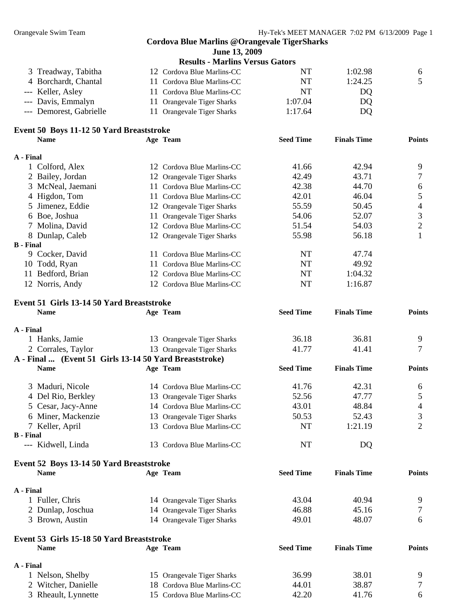|                                                          | <b>Cordova Blue Marlins @Orangevale TigerSharks</b>      |                  |                    |                |
|----------------------------------------------------------|----------------------------------------------------------|------------------|--------------------|----------------|
|                                                          | June 13, 2009                                            |                  |                    |                |
|                                                          | <b>Results - Marlins Versus Gators</b>                   |                  |                    |                |
| 3 Treadway, Tabitha                                      | 12 Cordova Blue Marlins-CC                               | NT               | 1:02.98            | 6              |
| 4 Borchardt, Chantal                                     | 11 Cordova Blue Marlins-CC                               | <b>NT</b>        | 1:24.25            | 5              |
| --- Keller, Asley                                        | 11 Cordova Blue Marlins-CC                               | NT               | DQ                 |                |
| --- Davis, Emmalyn                                       | 11 Orangevale Tiger Sharks                               | 1:07.04          | DQ                 |                |
| --- Demorest, Gabrielle                                  | 11 Orangevale Tiger Sharks                               | 1:17.64          | DQ                 |                |
| Event 50 Boys 11-12 50 Yard Breaststroke                 |                                                          |                  |                    |                |
| <b>Name</b>                                              | Age Team                                                 | <b>Seed Time</b> | <b>Finals Time</b> | <b>Points</b>  |
| A - Final                                                |                                                          |                  |                    |                |
| 1 Colford, Alex                                          | 12 Cordova Blue Marlins-CC                               | 41.66            | 42.94              | 9              |
| 2 Bailey, Jordan                                         | 12 Orangevale Tiger Sharks                               | 42.49            | 43.71              | 7              |
| 3 McNeal, Jaemani                                        | 11 Cordova Blue Marlins-CC                               | 42.38            | 44.70              | 6              |
| 4 Higdon, Tom                                            | 11 Cordova Blue Marlins-CC                               | 42.01            | 46.04              | 5              |
| 5 Jimenez, Eddie                                         | 12 Orangevale Tiger Sharks                               | 55.59            | 50.45              | $\overline{4}$ |
| 6 Boe, Joshua                                            | 11 Orangevale Tiger Sharks                               | 54.06            | 52.07              | 3              |
| 7 Molina, David                                          | 12 Cordova Blue Marlins-CC                               | 51.54            | 54.03              | $\overline{2}$ |
| 8 Dunlap, Caleb                                          | 12 Orangevale Tiger Sharks                               | 55.98            | 56.18              | 1              |
| <b>B</b> - Final                                         |                                                          |                  |                    |                |
| 9 Cocker, David                                          | 11 Cordova Blue Marlins-CC                               | NT               | 47.74              |                |
| 10 Todd, Ryan                                            | 11 Cordova Blue Marlins-CC                               | <b>NT</b>        | 49.92              |                |
| 11 Bedford, Brian                                        | 12 Cordova Blue Marlins-CC                               | NT               | 1:04.32            |                |
| 12 Norris, Andy                                          | 12 Cordova Blue Marlins-CC                               | <b>NT</b>        | 1:16.87            |                |
| Event 51 Girls 13-14 50 Yard Breaststroke                |                                                          |                  |                    |                |
| <b>Name</b>                                              | Age Team                                                 | <b>Seed Time</b> | <b>Finals Time</b> | <b>Points</b>  |
| A - Final                                                |                                                          |                  |                    |                |
| 1 Hanks, Jamie                                           | 13 Orangevale Tiger Sharks                               | 36.18            | 36.81              | 9              |
| 2 Corrales, Taylor                                       | 13 Orangevale Tiger Sharks                               | 41.77            | 41.41              | 7              |
| A - Final  (Event 51 Girls 13-14 50 Yard Breaststroke)   |                                                          |                  |                    |                |
| <b>Name</b>                                              | Age Team                                                 | <b>Seed Time</b> | <b>Finals Time</b> | <b>Points</b>  |
| 3 Maduri, Nicole                                         | 14 Cordova Blue Marlins-CC                               | 41.76            | 42.31              | 6              |
| 4 Del Rio, Berkley                                       | 13 Orangevale Tiger Sharks                               | 52.56            | 47.77              | 5              |
| 5 Cesar, Jacy-Anne                                       | 14 Cordova Blue Marlins-CC                               | 43.01            | 48.84              | $\overline{4}$ |
| 6 Miner, Mackenzie                                       | 13 Orangevale Tiger Sharks                               | 50.53            | 52.43              | 3              |
| 7 Keller, April                                          | 13 Cordova Blue Marlins-CC                               | <b>NT</b>        | 1:21.19            | $\overline{2}$ |
| <b>B</b> - Final                                         |                                                          |                  |                    |                |
| --- Kidwell, Linda                                       | 13 Cordova Blue Marlins-CC                               | NT               | DQ                 |                |
| Event 52 Boys 13-14 50 Yard Breaststroke                 |                                                          |                  |                    |                |
| <b>Name</b>                                              | Age Team                                                 | <b>Seed Time</b> | <b>Finals Time</b> | <b>Points</b>  |
| A - Final                                                |                                                          |                  |                    |                |
| 1 Fuller, Chris                                          | 14 Orangevale Tiger Sharks                               | 43.04            | 40.94              | 9              |
| 2 Dunlap, Joschua                                        | 14 Orangevale Tiger Sharks                               | 46.88            | 45.16              | 7              |
| 3 Brown, Austin                                          | 14 Orangevale Tiger Sharks                               | 49.01            | 48.07              | 6              |
|                                                          |                                                          |                  |                    |                |
| Event 53 Girls 15-18 50 Yard Breaststroke<br><b>Name</b> | Age Team                                                 | <b>Seed Time</b> | <b>Finals Time</b> | <b>Points</b>  |
|                                                          |                                                          |                  |                    |                |
| A - Final                                                |                                                          | 36.99            | 38.01              | 9              |
| 1 Nelson, Shelby<br>2 Witcher, Danielle                  | 15 Orangevale Tiger Sharks<br>18 Cordova Blue Marlins-CC | 44.01            | 38.87              | 7              |
|                                                          | 15 Cordova Blue Marlins-CC                               | 42.20            | 41.76              | 6              |
| 3 Rheault, Lynnette                                      |                                                          |                  |                    |                |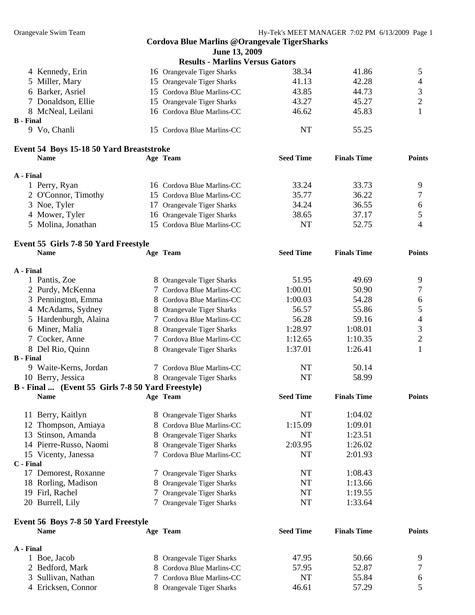|                  |                                                   |   | <b>Cordova Blue Marlins @Orangevale TigerSharks</b> |                  |                    |                |
|------------------|---------------------------------------------------|---|-----------------------------------------------------|------------------|--------------------|----------------|
|                  |                                                   |   | June 13, 2009                                       |                  |                    |                |
|                  |                                                   |   | <b>Results - Marlins Versus Gators</b>              |                  |                    |                |
|                  | 4 Kennedy, Erin                                   |   | 16 Orangevale Tiger Sharks                          | 38.34            | 41.86              | 5              |
|                  | 5 Miller, Mary                                    |   | 15 Orangevale Tiger Sharks                          | 41.13            | 42.28              | $\overline{4}$ |
|                  | 6 Barker, Asriel                                  |   | 15 Cordova Blue Marlins-CC                          | 43.85            | 44.73              | $\mathfrak{Z}$ |
|                  | 7 Donaldson, Ellie                                |   | 15 Orangevale Tiger Sharks                          | 43.27            | 45.27              | $\mathbf{2}$   |
|                  | 8 McNeal, Leilani                                 |   | 16 Cordova Blue Marlins-CC                          | 46.62            | 45.83              | 1              |
| <b>B</b> - Final |                                                   |   |                                                     |                  |                    |                |
|                  | 9 Vo, Chanli                                      |   | 15 Cordova Blue Marlins-CC                          | <b>NT</b>        | 55.25              |                |
|                  | Event 54 Boys 15-18 50 Yard Breaststroke          |   |                                                     |                  |                    |                |
|                  | <b>Name</b>                                       |   | Age Team                                            | <b>Seed Time</b> | <b>Finals Time</b> | <b>Points</b>  |
| A - Final        |                                                   |   |                                                     |                  |                    |                |
|                  | 1 Perry, Ryan                                     |   | 16 Cordova Blue Marlins-CC                          | 33.24            | 33.73              | 9              |
|                  | 2 O'Connor, Timothy                               |   | 15 Cordova Blue Marlins-CC                          | 35.77            | 36.22              | 7              |
|                  | 3 Noe, Tyler                                      |   | 17 Orangevale Tiger Sharks                          | 34.24            | 36.55              | 6              |
|                  | 4 Mower, Tyler                                    |   | 16 Orangevale Tiger Sharks                          | 38.65            | 37.17              | 5              |
|                  | 5 Molina, Jonathan                                |   | 15 Cordova Blue Marlins-CC                          | NT               | 52.75              | $\overline{4}$ |
|                  | Event 55 Girls 7-8 50 Yard Freestyle              |   |                                                     |                  |                    |                |
|                  | <b>Name</b>                                       |   | Age Team                                            | <b>Seed Time</b> | <b>Finals Time</b> | <b>Points</b>  |
| A - Final        |                                                   |   |                                                     |                  |                    |                |
|                  | 1 Pantis, Zoe                                     |   | 8 Orangevale Tiger Sharks                           | 51.95            | 49.69              | 9              |
|                  | 2 Purdy, McKenna                                  |   | 7 Cordova Blue Marlins-CC                           | 1:00.01          | 50.90              | 7              |
|                  | 3 Pennington, Emma                                |   | 8 Cordova Blue Marlins-CC                           | 1:00.03          | 54.28              | 6              |
|                  | 4 McAdams, Sydney                                 |   | 8 Orangevale Tiger Sharks                           | 56.57            | 55.86              | 5              |
|                  | 5 Hardenburgh, Alaina                             |   | 7 Cordova Blue Marlins-CC                           | 56.28            | 59.16              | $\overline{4}$ |
|                  | 6 Miner, Malia                                    |   | 8 Orangevale Tiger Sharks                           | 1:28.97          | 1:08.01            | 3              |
|                  | 7 Cocker, Anne                                    |   | 7 Cordova Blue Marlins-CC                           | 1:12.65          | 1:10.35            | $\mathbf{2}$   |
|                  | 8 Del Rio, Quinn                                  |   | 8 Orangevale Tiger Sharks                           | 1:37.01          | 1:26.41            | 1              |
| <b>B</b> - Final |                                                   |   |                                                     |                  |                    |                |
|                  | 9 Waite-Kerns, Jordan                             |   | 7 Cordova Blue Marlins-CC                           | NT               | 50.14              |                |
|                  | 10 Berry, Jessica                                 |   | 8 Orangevale Tiger Sharks                           | NT               | 58.99              |                |
|                  | B - Final  (Event 55 Girls 7-8 50 Yard Freestyle) |   |                                                     |                  |                    |                |
|                  | <b>Name</b>                                       |   | Age Team                                            | <b>Seed Time</b> | <b>Finals Time</b> | <b>Points</b>  |
|                  | 11 Berry, Kaitlyn                                 |   | 8 Orangevale Tiger Sharks                           | NT               | 1:04.02            |                |
|                  | 12 Thompson, Amiaya                               |   | 8 Cordova Blue Marlins-CC                           | 1:15.09          | 1:09.01            |                |
|                  | 13 Stinson, Amanda                                |   | 8 Orangevale Tiger Sharks                           | <b>NT</b>        | 1:23.51            |                |
|                  | 14 Pierre-Russo, Naomi                            |   | 8 Orangevale Tiger Sharks                           | 2:03.95          | 1:26.02            |                |
|                  | 15 Vicenty, Janessa                               |   | 7 Cordova Blue Marlins-CC                           | <b>NT</b>        | 2:01.93            |                |
| C - Final        |                                                   |   |                                                     |                  |                    |                |
|                  | 17 Demorest, Roxanne                              |   | 7 Orangevale Tiger Sharks                           | NT               | 1:08.43            |                |
|                  | 18 Rorling, Madison                               |   | <b>Orangevale Tiger Sharks</b>                      | NT               | 1:13.66            |                |
|                  | 19 Firl, Rachel                                   | 7 | <b>Orangevale Tiger Sharks</b>                      | NT               | 1:19.55            |                |
|                  | 20 Burrell, Lily                                  |   | 7 Orangevale Tiger Sharks                           | NT               | 1:33.64            |                |
|                  | Event 56 Boys 7-8 50 Yard Freestyle               |   |                                                     |                  |                    |                |
|                  | <b>Name</b>                                       |   | Age Team                                            | <b>Seed Time</b> | <b>Finals Time</b> | <b>Points</b>  |
| A - Final        |                                                   |   |                                                     |                  |                    |                |
|                  | 1 Boe, Jacob                                      | 8 | Orangevale Tiger Sharks                             | 47.95            | 50.66              | 9              |
|                  | 2 Bedford, Mark                                   |   | 8 Cordova Blue Marlins-CC                           | 57.95            | 52.87              | 7              |
|                  | 3 Sullivan, Nathan                                |   | 7 Cordova Blue Marlins-CC                           | NT               | 55.84              | 6              |
|                  | 4 Ericksen, Connor                                |   | 8 Orangevale Tiger Sharks                           | 46.61            | 57.29              | 5              |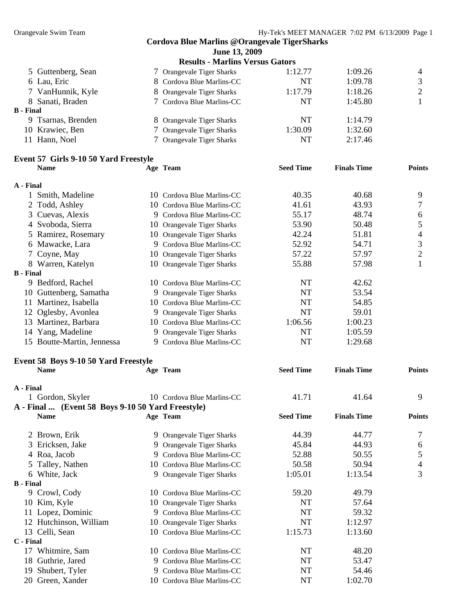|                                                   |   | <b>Cordova Blue Marlins @Orangevale TigerSharks</b> |                  |                    |                  |
|---------------------------------------------------|---|-----------------------------------------------------|------------------|--------------------|------------------|
|                                                   |   | June 13, 2009                                       |                  |                    |                  |
|                                                   |   | <b>Results - Marlins Versus Gators</b>              |                  |                    |                  |
| 5 Guttenberg, Sean                                |   | 7 Orangevale Tiger Sharks                           | 1:12.77          | 1:09.26            | 4                |
| 6 Lau, Eric                                       |   | 8 Cordova Blue Marlins-CC                           | <b>NT</b>        | 1:09.78            | 3                |
| 7 VanHunnik, Kyle                                 |   | 8 Orangevale Tiger Sharks                           | 1:17.79          | 1:18.26            | $\overline{c}$   |
| 8 Sanati, Braden                                  |   | 7 Cordova Blue Marlins-CC                           | <b>NT</b>        | 1:45.80            | 1                |
| <b>B</b> - Final                                  |   |                                                     |                  |                    |                  |
| 9 Tsarnas, Brenden                                |   | 8 Orangevale Tiger Sharks                           | NT               | 1:14.79            |                  |
| 10 Krawiec, Ben                                   | 7 | Orangevale Tiger Sharks                             | 1:30.09          | 1:32.60            |                  |
| 11 Hann, Noel                                     |   | 7 Orangevale Tiger Sharks                           | NT               | 2:17.46            |                  |
| <b>Event 57 Girls 9-10 50 Yard Freestyle</b>      |   |                                                     |                  |                    |                  |
| <b>Name</b>                                       |   | Age Team                                            | <b>Seed Time</b> | <b>Finals Time</b> | <b>Points</b>    |
| A - Final                                         |   |                                                     |                  |                    |                  |
| 1 Smith, Madeline                                 |   | 10 Cordova Blue Marlins-CC                          | 40.35            | 40.68              | 9                |
| 2 Todd, Ashley                                    |   | 10 Cordova Blue Marlins-CC                          | 41.61            | 43.93              | 7                |
| 3 Cuevas, Alexis                                  |   | 9 Cordova Blue Marlins-CC                           | 55.17            | 48.74              | $\boldsymbol{6}$ |
| 4 Svoboda, Sierra                                 |   | 10 Orangevale Tiger Sharks                          | 53.90            | 50.48              | 5                |
| Ramirez, Rosemary<br>5                            |   | 10 Orangevale Tiger Sharks                          | 42.24            | 51.81              | $\overline{4}$   |
| Mawacke, Lara<br>6                                |   | 9 Cordova Blue Marlins-CC                           | 52.92            | 54.71              | 3                |
| Coyne, May                                        |   | 10 Orangevale Tiger Sharks                          | 57.22            | 57.97              | $\overline{2}$   |
| 8 Warren, Katelyn                                 |   | 10 Orangevale Tiger Sharks                          | 55.88            | 57.98              | 1                |
| <b>B</b> - Final                                  |   |                                                     |                  |                    |                  |
| 9 Bedford, Rachel                                 |   | 10 Cordova Blue Marlins-CC                          | NT               | 42.62              |                  |
| 10 Guttenberg, Samatha                            |   | 9 Orangevale Tiger Sharks                           | <b>NT</b>        | 53.54              |                  |
| 11 Martinez, Isabella                             |   | 10 Cordova Blue Marlins-CC                          | NT               | 54.85              |                  |
| 12 Oglesby, Avonlea                               |   | 9 Orangevale Tiger Sharks                           | <b>NT</b>        | 59.01              |                  |
| 13 Martinez, Barbara                              |   | 10 Cordova Blue Marlins-CC                          | 1:06.56          | 1:00.23            |                  |
| 14 Yang, Madeline                                 |   | 9 Orangevale Tiger Sharks                           | <b>NT</b>        | 1:05.59            |                  |
| 15 Boutte-Martin, Jennessa                        |   | 9 Cordova Blue Marlins-CC                           | <b>NT</b>        | 1:29.68            |                  |
| Event 58 Boys 9-10 50 Yard Freestyle              |   |                                                     |                  |                    |                  |
| <b>Name</b>                                       |   | Age Team                                            | <b>Seed Time</b> | <b>Finals Time</b> | <b>Points</b>    |
| A - Final                                         |   |                                                     |                  |                    |                  |
| 1 Gordon, Skyler                                  |   | 10 Cordova Blue Marlins-CC                          | 41.71            | 41.64              | 9                |
| A - Final  (Event 58 Boys 9-10 50 Yard Freestyle) |   |                                                     |                  |                    |                  |
| Name                                              |   | Age Team                                            | <b>Seed Time</b> | <b>Finals Time</b> | <b>Points</b>    |
| 2 Brown, Erik                                     |   | 9 Orangevale Tiger Sharks                           | 44.39            | 44.77              | 7                |
| Ericksen, Jake                                    |   | 9 Orangevale Tiger Sharks                           | 45.84            | 44.93              | 6                |
| 4 Roa, Jacob                                      |   | 9 Cordova Blue Marlins-CC                           | 52.88            | 50.55              | 5                |
| Talley, Nathen<br>5                               |   | 10 Cordova Blue Marlins-CC                          | 50.58            | 50.94              | 4                |
| 6 White, Jack                                     |   | 9 Orangevale Tiger Sharks                           | 1:05.01          | 1:13.54            | 3                |
| <b>B</b> - Final                                  |   |                                                     |                  |                    |                  |
| 9 Crowl, Cody                                     |   | 10 Cordova Blue Marlins-CC                          | 59.20            | 49.79              |                  |
| Kim, Kyle<br>10                                   |   | 10 Orangevale Tiger Sharks                          | NT               | 57.64              |                  |
| 11 Lopez, Dominic                                 |   | 9 Cordova Blue Marlins-CC                           | NT               | 59.32              |                  |
| 12 Hutchinson, William                            |   | 10 Orangevale Tiger Sharks                          | NT               | 1:12.97            |                  |
| 13 Celli, Sean                                    |   | 10 Cordova Blue Marlins-CC                          | 1:15.73          | 1:13.60            |                  |
| C - Final                                         |   |                                                     |                  |                    |                  |
| 17 Whitmire, Sam                                  |   | 10 Cordova Blue Marlins-CC                          | NT               | 48.20              |                  |
| Guthrie, Jared<br>18                              |   | 9 Cordova Blue Marlins-CC                           | NT               | 53.47              |                  |
| Shubert, Tyler<br>19                              |   | 9 Cordova Blue Marlins-CC                           | NT               | 54.46              |                  |
| 20 Green, Xander                                  |   | 10 Cordova Blue Marlins-CC                          | NT               | 1:02.70            |                  |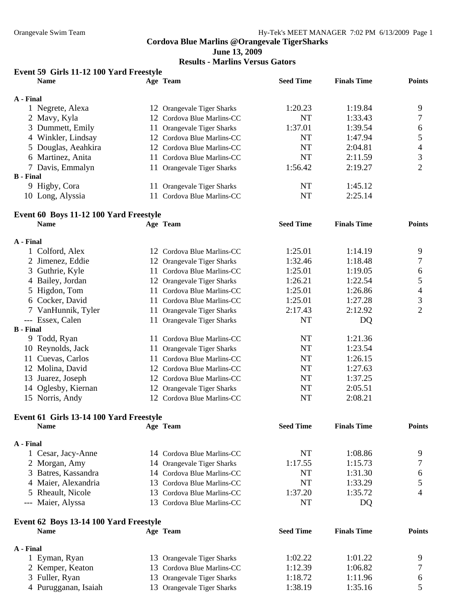**June 13, 2009** 

**Results - Marlins Versus Gators** 

### **Event 59 Girls 11-12 100 Yard Freestyle**

|                  | <b>Name</b>         |     | Age Team                   | <b>Seed Time</b> | <b>Finals Time</b> | <b>Points</b> |
|------------------|---------------------|-----|----------------------------|------------------|--------------------|---------------|
| A - Final        |                     |     |                            |                  |                    |               |
|                  | 1 Negrete, Alexa    |     | 12 Orangevale Tiger Sharks | 1:20.23          | 1:19.84            | 9             |
|                  | 2 Mavy, Kyla        |     | 12 Cordova Blue Marlins-CC | <b>NT</b>        | 1:33.43            |               |
|                  | 3 Dummett, Emily    |     | 11 Orangevale Tiger Sharks | 1:37.01          | 1:39.54            | 6             |
|                  | 4 Winkler, Lindsay  |     | 12 Cordova Blue Marlins-CC | <b>NT</b>        | 1:47.94            |               |
|                  | 5 Douglas, Aeahkira |     | 12 Cordova Blue Marlins-CC | NT               | 2:04.81            | 4             |
|                  | 6 Martinez, Anita   |     | 11 Cordova Blue Marlins-CC | NT               | 2:11.59            | 3             |
|                  | 7 Davis, Emmalyn    |     | 11 Orangevale Tiger Sharks | 1:56.42          | 2:19.27            |               |
| <b>B</b> - Final |                     |     |                            |                  |                    |               |
|                  | 9 Higby, Cora       | 11. | Orangevale Tiger Sharks    | <b>NT</b>        | 1:45.12            |               |
|                  | 10 Long, Alyssia    |     | Cordova Blue Marlins-CC    | NT               | 2:25.14            |               |
|                  |                     |     |                            |                  |                    |               |

### **Event 60 Boys 11-12 100 Yard Freestyle**

|                  | <b>Name</b>         |     | Age Team                   | <b>Seed Time</b> | <b>Finals Time</b> | <b>Points</b> |
|------------------|---------------------|-----|----------------------------|------------------|--------------------|---------------|
| A - Final        |                     |     |                            |                  |                    |               |
|                  | 1 Colford, Alex     | 12  | Cordova Blue Marlins-CC    | 1:25.01          | 1:14.19            | 9             |
|                  | 2 Jimenez, Eddie    |     | 12 Orangevale Tiger Sharks | 1:32.46          | 1:18.48            |               |
|                  | 3 Guthrie, Kyle     |     | Cordova Blue Marlins-CC    | 1:25.01          | 1:19.05            | 6             |
|                  | 4 Bailey, Jordan    |     | 12 Orangevale Tiger Sharks | 1:26.21          | 1:22.54            |               |
|                  | 5 Higdon, Tom       | 11  | Cordova Blue Marlins-CC    | 1:25.01          | 1:26.86            | 4             |
|                  | 6 Cocker, David     | 11  | Cordova Blue Marlins-CC    | 1:25.01          | 1:27.28            | 3             |
|                  | 7 VanHunnik, Tyler  |     | 11 Orangevale Tiger Sharks | 2:17.43          | 2:12.92            | 2             |
| $---$            | Essex, Calen        | 11. | Orangevale Tiger Sharks    | NT               | DQ                 |               |
| <b>B</b> - Final |                     |     |                            |                  |                    |               |
| 9                | Todd, Ryan          | 11  | Cordova Blue Marlins-CC    | NT               | 1:21.36            |               |
|                  | 10 Reynolds, Jack   |     | 11 Orangevale Tiger Sharks | NT               | 1:23.54            |               |
|                  | 11 Cuevas, Carlos   | 11  | Cordova Blue Marlins-CC    | NT               | 1:26.15            |               |
|                  | 12 Molina, David    |     | 12 Cordova Blue Marlins-CC | NT               | 1:27.63            |               |
|                  | 13 Juarez, Joseph   |     | 12 Cordova Blue Marlins-CC | NT               | 1:37.25            |               |
|                  | 14 Oglesby, Kiernan |     | 12 Orangevale Tiger Sharks | NT               | 2:05.51            |               |
|                  | 15 Norris, Andy     |     | 12 Cordova Blue Marlins-CC | NT               | 2:08.21            |               |

### **Event 61 Girls 13-14 100 Yard Freestyle**

| <b>Name</b> |                                                                                                                                          | <b>Seed Time</b>                                                                                                                                                                             | <b>Finals Time</b> | <b>Points</b> |
|-------------|------------------------------------------------------------------------------------------------------------------------------------------|----------------------------------------------------------------------------------------------------------------------------------------------------------------------------------------------|--------------------|---------------|
|             |                                                                                                                                          |                                                                                                                                                                                              |                    |               |
|             |                                                                                                                                          | NT                                                                                                                                                                                           | 1:08.86            | Q             |
|             |                                                                                                                                          | 1:17.55                                                                                                                                                                                      | 1:15.73            |               |
|             |                                                                                                                                          | NT                                                                                                                                                                                           | 1:31.30            | 6             |
|             |                                                                                                                                          | NT                                                                                                                                                                                           | 1:33.29            |               |
|             |                                                                                                                                          | 1:37.20                                                                                                                                                                                      | 1:35.72            | 4             |
|             |                                                                                                                                          | NT                                                                                                                                                                                           | DQ                 |               |
|             | A - Final<br>1 Cesar, Jacy-Anne<br>2 Morgan, Amy<br>3 Batres, Kassandra<br>4 Maier, Alexandria<br>5 Rheault, Nicole<br>--- Maier, Alyssa | Age Team<br>14 Cordova Blue Marlins-CC<br>14 Orangevale Tiger Sharks<br>14 Cordova Blue Marlins-CC<br>13 Cordova Blue Marlins-CC<br>13 Cordova Blue Marlins-CC<br>13 Cordova Blue Marlins-CC |                    |               |

| Event 62 Boys 13-14 100 Yard Freestyle |                            |                  |                    |               |  |
|----------------------------------------|----------------------------|------------------|--------------------|---------------|--|
| <b>Name</b>                            | Age Team                   | <b>Seed Time</b> | <b>Finals Time</b> | <b>Points</b> |  |
| A - Final                              |                            |                  |                    |               |  |
| Eyman, Ryan                            | 13 Orangevale Tiger Sharks | 1:02.22          | 1:01.22            | Q             |  |
| 2 Kemper, Keaton                       | 13 Cordova Blue Marlins-CC | 1:12.39          | 1:06.82            |               |  |
| 3 Fuller, Ryan                         | 13 Orangevale Tiger Sharks | 1:18.72          | 1:11.96            | h             |  |
| 4 Purugganan, Isaiah                   | 13 Orangevale Tiger Sharks | 1:38.19          | 1:35.16            |               |  |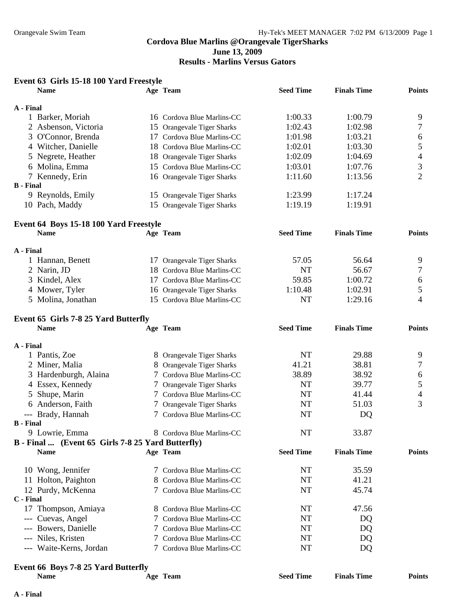## **Results - Marlins Versus Gators**

|                  | <b>Name</b>                                       |   | Age Team                       | <b>Seed Time</b> | <b>Finals Time</b> | <b>Points</b>  |
|------------------|---------------------------------------------------|---|--------------------------------|------------------|--------------------|----------------|
| A - Final        |                                                   |   |                                |                  |                    |                |
|                  | 1 Barker, Moriah                                  |   | 16 Cordova Blue Marlins-CC     | 1:00.33          | 1:00.79            | 9              |
|                  | 2 Asbenson, Victoria                              |   | 15 Orangevale Tiger Sharks     | 1:02.43          | 1:02.98            | 7              |
|                  | 3 O'Connor, Brenda                                |   | 17 Cordova Blue Marlins-CC     | 1:01.98          | 1:03.21            | 6              |
|                  | 4 Witcher, Danielle                               |   | 18 Cordova Blue Marlins-CC     | 1:02.01          | 1:03.30            | 5              |
|                  | 5 Negrete, Heather                                |   | 18 Orangevale Tiger Sharks     | 1:02.09          | 1:04.69            | $\overline{4}$ |
|                  | 6 Molina, Emma                                    |   | 15 Cordova Blue Marlins-CC     | 1:03.01          | 1:07.76            | 3              |
|                  | 7 Kennedy, Erin                                   |   | 16 Orangevale Tiger Sharks     | 1:11.60          | 1:13.56            | $\overline{2}$ |
| <b>B</b> - Final |                                                   |   |                                |                  |                    |                |
|                  | 9 Reynolds, Emily                                 |   | 15 Orangevale Tiger Sharks     | 1:23.99          | 1:17.24            |                |
|                  | 10 Pach, Maddy                                    |   | 15 Orangevale Tiger Sharks     | 1:19.19          | 1:19.91            |                |
|                  | Event 64 Boys 15-18 100 Yard Freestyle            |   |                                |                  |                    |                |
|                  | <b>Name</b>                                       |   | Age Team                       | <b>Seed Time</b> | <b>Finals Time</b> | <b>Points</b>  |
| A - Final        |                                                   |   |                                |                  |                    |                |
|                  | 1 Hannan, Benett                                  |   | 17 Orangevale Tiger Sharks     | 57.05            | 56.64              | 9              |
|                  | 2 Narin, JD                                       |   | 18 Cordova Blue Marlins-CC     | <b>NT</b>        | 56.67              | 7              |
|                  | 3 Kindel, Alex                                    |   | 17 Cordova Blue Marlins-CC     | 59.85            | 1:00.72            | 6              |
|                  | 4 Mower, Tyler                                    |   | 16 Orangevale Tiger Sharks     | 1:10.48          | 1:02.91            | 5              |
|                  | 5 Molina, Jonathan                                |   | 15 Cordova Blue Marlins-CC     | <b>NT</b>        | 1:29.16            | 4              |
|                  | Event 65 Girls 7-8 25 Yard Butterfly              |   |                                |                  |                    |                |
|                  | <b>Name</b>                                       |   | Age Team                       | <b>Seed Time</b> | <b>Finals Time</b> | <b>Points</b>  |
| A - Final        |                                                   |   |                                |                  |                    |                |
|                  | 1 Pantis, Zoe                                     |   | 8 Orangevale Tiger Sharks      | NT               | 29.88              | 9              |
|                  | 2 Miner, Malia                                    |   | 8 Orangevale Tiger Sharks      | 41.21            | 38.81              | 7              |
|                  | 3 Hardenburgh, Alaina                             |   | 7 Cordova Blue Marlins-CC      | 38.89            | 38.92              | 6              |
|                  | 4 Essex, Kennedy                                  |   | 7 Orangevale Tiger Sharks      | NT               | 39.77              | 5              |
| 5                | Shupe, Marin                                      | 7 | Cordova Blue Marlins-CC        | NT               | 41.44              | $\overline{4}$ |
|                  | 6 Anderson, Faith                                 |   | <b>Orangevale Tiger Sharks</b> | <b>NT</b>        | 51.03              | 3              |
|                  | --- Brady, Hannah                                 | 7 | Cordova Blue Marlins-CC        | NT               | DQ                 |                |
| <b>B</b> - Final |                                                   |   |                                |                  |                    |                |
|                  | 9 Lowrie, Emma                                    |   | 8 Cordova Blue Marlins-CC      | <b>NT</b>        | 33.87              |                |
|                  | B - Final  (Event 65 Girls 7-8 25 Yard Butterfly) |   |                                |                  |                    |                |
|                  | <b>Name</b>                                       |   | Age Team                       | <b>Seed Time</b> | <b>Finals Time</b> | <b>Points</b>  |
|                  | 10 Wong, Jennifer                                 |   | 7 Cordova Blue Marlins-CC      | NT               | 35.59              |                |
|                  | 11 Holton, Paighton                               |   | 8 Cordova Blue Marlins-CC      | NT               | 41.21              |                |
|                  | 12 Purdy, McKenna                                 |   | 7 Cordova Blue Marlins-CC      | NT               | 45.74              |                |
| C - Final        |                                                   |   |                                |                  |                    |                |
|                  | 17 Thompson, Amiaya                               |   | 8 Cordova Blue Marlins-CC      | NT               | 47.56              |                |
|                  | --- Cuevas, Angel                                 |   | 7 Cordova Blue Marlins-CC      | NT               | DQ                 |                |
|                  | --- Bowers, Danielle                              |   | 7 Cordova Blue Marlins-CC      | NT               | DQ                 |                |
|                  | --- Niles, Kristen                                |   | Cordova Blue Marlins-CC        | NT               | DQ                 |                |
|                  | --- Waite-Kerns, Jordan                           |   | 7 Cordova Blue Marlins-CC      | NT               | DQ                 |                |
|                  | Event 66 Boys 7-8 25 Yard Butterfly               |   |                                |                  |                    |                |
|                  | <b>Name</b>                                       |   | Age Team                       | <b>Seed Time</b> | <b>Finals Time</b> | <b>Points</b>  |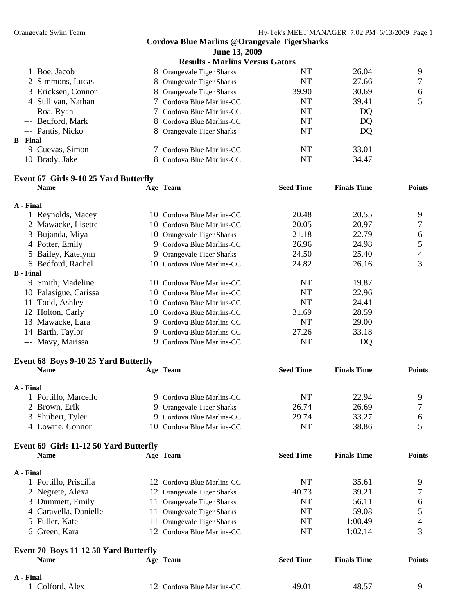|                    | <b>Results - Marlins Versus Gators</b> |       |       |        |
|--------------------|----------------------------------------|-------|-------|--------|
| 1 Boe, Jacob       | 8 Orangevale Tiger Sharks              | NT    | 26.04 | 9      |
| 2 Simmons, Lucas   | 8 Orangevale Tiger Sharks              | NT    | 27.66 | $\tau$ |
| 3 Ericksen, Connor | 8 Orangevale Tiger Sharks              | 39.90 | 30.69 | 6      |
| 4 Sullivan, Nathan | 7 Cordova Blue Marlins-CC              | NT    | 39.41 | 5      |
| --- Roa, Ryan      | 7 Cordova Blue Marlins-CC              | NT    | DQ    |        |
| --- Bedford, Mark  | 8 Cordova Blue Marlins-CC              | NT    | DQ    |        |
| --- Pantis, Nicko  | 8 Orangevale Tiger Sharks              | NT    | DQ    |        |
| <b>B</b> - Final   |                                        |       |       |        |
| 9 Cuevas, Simon    | 7 Cordova Blue Marlins-CC              | NT    | 33.01 |        |
| 10 Brady, Jake     | 8 Cordova Blue Marlins-CC              | NT    | 34.47 |        |

### **Event 67 Girls 9-10 25 Yard Butterfly**

|                  | <b>Name</b>                            |    | Age Team                       | <b>Seed Time</b> | <b>Finals Time</b> | <b>Points</b> |
|------------------|----------------------------------------|----|--------------------------------|------------------|--------------------|---------------|
| A - Final        |                                        |    |                                |                  |                    |               |
|                  | 1 Reynolds, Macey                      |    | 10 Cordova Blue Marlins-CC     | 20.48            | 20.55              | 9             |
|                  | 2 Mawacke, Lisette                     |    | 10 Cordova Blue Marlins-CC     | 20.05            | 20.97              | 7             |
| 3                | Bujanda, Miya                          |    | 10 Orangevale Tiger Sharks     | 21.18            | 22.79              | 6             |
|                  | 4 Potter, Emily                        |    | 9 Cordova Blue Marlins-CC      | 26.96            | 24.98              | 5             |
|                  | 5 Bailey, Katelynn                     |    | 9 Orangevale Tiger Sharks      | 24.50            | 25.40              | 4             |
|                  | 6 Bedford, Rachel                      |    | 10 Cordova Blue Marlins-CC     | 24.82            | 26.16              | 3             |
| <b>B</b> - Final |                                        |    |                                |                  |                    |               |
|                  | 9 Smith, Madeline                      |    | 10 Cordova Blue Marlins-CC     | <b>NT</b>        | 19.87              |               |
|                  | 10 Palasigue, Carissa                  |    | 10 Cordova Blue Marlins-CC     | <b>NT</b>        | 22.96              |               |
|                  | 11 Todd, Ashley                        |    | 10 Cordova Blue Marlins-CC     | <b>NT</b>        | 24.41              |               |
|                  | 12 Holton, Carly                       |    | 10 Cordova Blue Marlins-CC     | 31.69            | 28.59              |               |
|                  | 13 Mawacke, Lara                       |    | 9 Cordova Blue Marlins-CC      | <b>NT</b>        | 29.00              |               |
|                  | 14 Barth, Taylor                       |    | 9 Cordova Blue Marlins-CC      | 27.26            | 33.18              |               |
|                  | --- Mavy, Marissa                      |    | 9 Cordova Blue Marlins-CC      | <b>NT</b>        | DQ                 |               |
|                  | Event 68 Boys 9-10 25 Yard Butterfly   |    |                                |                  |                    |               |
|                  | <b>Name</b>                            |    | Age Team                       | <b>Seed Time</b> | <b>Finals Time</b> | <b>Points</b> |
| A - Final        |                                        |    |                                |                  |                    |               |
|                  | 1 Portillo, Marcello                   |    | 9 Cordova Blue Marlins-CC      | <b>NT</b>        | 22.94              | 9             |
|                  | 2 Brown, Erik                          |    | 9 Orangevale Tiger Sharks      | 26.74            | 26.69              | 7             |
| 3                | Shubert, Tyler                         | 9. | Cordova Blue Marlins-CC        | 29.74            | 33.27              | 6             |
|                  | 4 Lowrie, Connor                       | 10 | Cordova Blue Marlins-CC        | <b>NT</b>        | 38.86              | 5             |
|                  | Event 69 Girls 11-12 50 Yard Butterfly |    |                                |                  |                    |               |
|                  | <b>Name</b>                            |    | Age Team                       | <b>Seed Time</b> | <b>Finals Time</b> | <b>Points</b> |
| A - Final        |                                        |    |                                |                  |                    |               |
|                  | 1 Portillo, Priscilla                  |    | 12 Cordova Blue Marlins-CC     | <b>NT</b>        | 35.61              | 9             |
|                  | 2 Negrete, Alexa                       |    | 12 Orangevale Tiger Sharks     | 40.73            | 39.21              | 7             |
|                  | 3 Dummett, Emily                       |    | 11 Orangevale Tiger Sharks     | <b>NT</b>        | 56.11              | 6             |
|                  | 4 Caravella, Danielle                  | 11 | Orangevale Tiger Sharks        | <b>NT</b>        | 59.08              | 5             |
|                  | 5 Fuller, Kate                         | 11 | <b>Orangevale Tiger Sharks</b> | <b>NT</b>        | 1:00.49            | 4             |
|                  | 6 Green, Kara                          |    | 12 Cordova Blue Marlins-CC     | <b>NT</b>        | 1:02.14            | 3             |

| Event 70 Boys 11-12 50 Yard Butterfly |                            |                  |                    |               |  |  |
|---------------------------------------|----------------------------|------------------|--------------------|---------------|--|--|
| <b>Name</b>                           | Age Team                   | <b>Seed Time</b> | <b>Finals Time</b> | <b>Points</b> |  |  |
| A - Final                             |                            |                  |                    |               |  |  |
| Colford, Alex                         | 12 Cordova Blue Marlins-CC | 49.01            | 48.57              |               |  |  |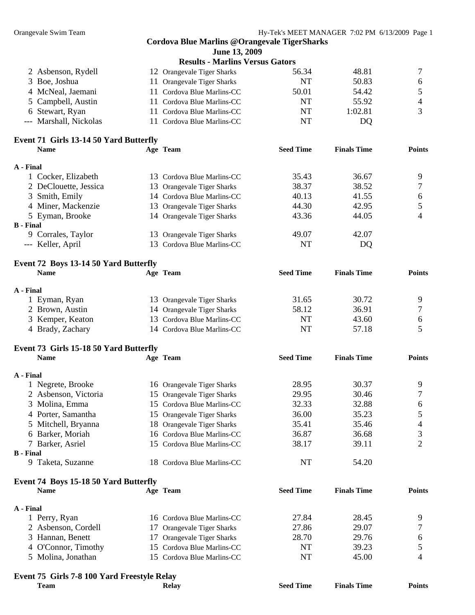|                  | Event 75 Girls 7-8 100 Yard Freestyle Relay          |    |                                                     |                  |                    |                          |
|------------------|------------------------------------------------------|----|-----------------------------------------------------|------------------|--------------------|--------------------------|
|                  | 5 Molina, Jonathan                                   |    | 15 Cordova Blue Marlins-CC                          | NT               | 45.00              | 4                        |
|                  | 4 O'Connor, Timothy                                  |    | 15 Cordova Blue Marlins-CC                          | NT               |                    | 5                        |
|                  | 3 Hannan, Benett                                     | 17 | Orangevale Tiger Sharks                             |                  | 39.23              | 6                        |
|                  |                                                      |    | 17 Orangevale Tiger Sharks                          | 28.70            | 29.76              |                          |
|                  | 1 Perry, Ryan<br>2 Asbenson, Cordell                 |    |                                                     | 27.86            | 29.07              | 9<br>7                   |
| A - Final        |                                                      |    | 16 Cordova Blue Marlins-CC                          | 27.84            | 28.45              |                          |
|                  |                                                      |    |                                                     |                  |                    |                          |
|                  | Event 74 Boys 15-18 50 Yard Butterfly<br><b>Name</b> |    | Age Team                                            | <b>Seed Time</b> | <b>Finals Time</b> | <b>Points</b>            |
|                  | 9 Taketa, Suzanne                                    |    | 18 Cordova Blue Marlins-CC                          | NT               | 54.20              |                          |
| <b>B</b> - Final |                                                      |    |                                                     |                  |                    |                          |
|                  | 7 Barker, Asriel                                     |    | 15 Cordova Blue Marlins-CC                          | 38.17            | 39.11              | 2                        |
|                  | 6 Barker, Moriah                                     |    | 16 Cordova Blue Marlins-CC                          | 36.87            | 36.68              | 3                        |
|                  | 5 Mitchell, Bryanna                                  |    | 18 Orangevale Tiger Sharks                          | 35.41            | 35.46              | 4                        |
|                  | 4 Porter, Samantha                                   |    | 15 Orangevale Tiger Sharks                          | 36.00            | 35.23              | 5                        |
| 3.               | Molina, Emma                                         |    | 15 Cordova Blue Marlins-CC                          | 32.33            | 32.88              | 6                        |
|                  | 2 Asbenson, Victoria                                 |    | 15 Orangevale Tiger Sharks                          | 29.95            | 30.46              | 7                        |
|                  | 1 Negrete, Brooke                                    |    | 16 Orangevale Tiger Sharks                          | 28.95            | 30.37              | 9                        |
| A - Final        |                                                      |    |                                                     |                  |                    |                          |
|                  |                                                      |    |                                                     |                  |                    |                          |
|                  | <b>Name</b>                                          |    | Age Team                                            | <b>Seed Time</b> | <b>Finals Time</b> | <b>Points</b>            |
|                  | Event 73 Girls 15-18 50 Yard Butterfly               |    |                                                     |                  |                    |                          |
|                  | 4 Brady, Zachary                                     |    | 14 Cordova Blue Marlins-CC                          | <b>NT</b>        | 57.18              | 5                        |
|                  | 3 Kemper, Keaton                                     |    | 13 Cordova Blue Marlins-CC                          | <b>NT</b>        | 43.60              | 6                        |
|                  | 2 Brown, Austin                                      |    | 14 Orangevale Tiger Sharks                          | 58.12            | 36.91              | 7                        |
|                  | 1 Eyman, Ryan                                        |    | 13 Orangevale Tiger Sharks                          | 31.65            | 30.72              | 9                        |
| A - Final        |                                                      |    |                                                     |                  |                    |                          |
|                  |                                                      |    |                                                     |                  |                    |                          |
|                  | Event 72 Boys 13-14 50 Yard Butterfly<br><b>Name</b> |    | Age Team                                            | <b>Seed Time</b> | <b>Finals Time</b> | <b>Points</b>            |
|                  |                                                      |    |                                                     |                  |                    |                          |
|                  | --- Keller, April                                    |    | 13 Cordova Blue Marlins-CC                          | <b>NT</b>        | DQ                 |                          |
|                  | 9 Corrales, Taylor                                   |    | 13 Orangevale Tiger Sharks                          | 49.07            | 42.07              |                          |
| <b>B</b> - Final |                                                      |    |                                                     |                  |                    |                          |
|                  | 5 Eyman, Brooke                                      |    | 14 Orangevale Tiger Sharks                          | 43.36            | 44.05              | $\overline{4}$           |
|                  | 4 Miner, Mackenzie                                   |    | 13 Orangevale Tiger Sharks                          | 44.30            | 42.95              | 5                        |
|                  | 3 Smith, Emily                                       |    | 14 Cordova Blue Marlins-CC                          | 40.13            | 41.55              | $\boldsymbol{6}$         |
|                  | 2 DeClouette, Jessica                                |    | 13 Orangevale Tiger Sharks                          | 38.37            | 38.52              | 7                        |
|                  | 1 Cocker, Elizabeth                                  |    | 13 Cordova Blue Marlins-CC                          | 35.43            | 36.67              | 9                        |
| A - Final        |                                                      |    |                                                     |                  |                    |                          |
|                  | <b>Name</b>                                          |    | Age Team                                            | <b>Seed Time</b> | <b>Finals Time</b> | <b>Points</b>            |
|                  | Event 71 Girls 13-14 50 Yard Butterfly               |    |                                                     |                  |                    |                          |
|                  | --- Marshall, Nickolas                               |    | 11 Cordova Blue Marlins-CC                          | <b>NT</b>        | DQ                 |                          |
|                  | 6 Stewart, Ryan                                      |    | 11 Cordova Blue Marlins-CC                          | NT               | 1:02.81            | 3                        |
| 5                | Campbell, Austin                                     |    | 11 Cordova Blue Marlins-CC                          | <b>NT</b>        | 55.92              | $\overline{\mathcal{A}}$ |
|                  | 4 McNeal, Jaemani                                    | 11 | Cordova Blue Marlins-CC                             | 50.01            | 54.42              | $\mathfrak s$            |
| 3                | Boe, Joshua                                          |    | 11 Orangevale Tiger Sharks                          | <b>NT</b>        | 50.83              | 6                        |
|                  | 2 Asbenson, Rydell                                   |    | 12 Orangevale Tiger Sharks                          | 56.34            | 48.81              | 7                        |
|                  |                                                      |    | <b>Results - Marlins Versus Gators</b>              |                  |                    |                          |
|                  |                                                      |    | June 13, 2009                                       |                  |                    |                          |
|                  |                                                      |    | <b>Cordova Blue Marlins @Orangevale TigerSharks</b> |                  |                    |                          |
|                  |                                                      |    |                                                     |                  |                    |                          |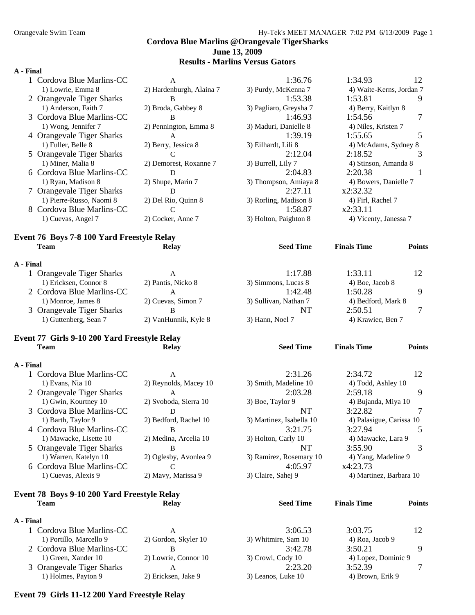### **Cordova Blue Marlins @Orangevale TigerSharks June 13, 2009 Results - Marlins Versus Gators**

#### **A - Final**

 $A$ .

|           | 3 Orangevale Tiger Sharks                  | B                        | <b>NT</b>              | 2:50.51                  | 7             |
|-----------|--------------------------------------------|--------------------------|------------------------|--------------------------|---------------|
|           | 1) Monroe, James 8                         | 2) Cuevas, Simon 7       | 3) Sullivan, Nathan 7  | 4) Bedford, Mark 8       |               |
|           | 2 Cordova Blue Marlins-CC                  | $\mathbf{A}$             | 1:42.48                | 1:50.28                  | 9             |
|           | 1) Ericksen, Connor 8                      | 2) Pantis, Nicko 8       | 3) Simmons, Lucas 8    | $(4)$ Boe, Jacob $8$     |               |
|           | 1 Orangevale Tiger Sharks                  | A                        | 1:17.88                | 1:33.11                  | 12            |
| A - Final |                                            |                          |                        |                          |               |
|           | <b>Team</b>                                | <b>Relay</b>             | <b>Seed Time</b>       | <b>Finals Time</b>       | <b>Points</b> |
|           | Event 76 Boys 7-8 100 Yard Freestyle Relay |                          |                        |                          |               |
|           | 1) Cuevas, Angel 7                         | 2) Cocker, Anne 7        | 3) Holton, Paighton 8  | 4) Vicenty, Janessa 7    |               |
|           | 8 Cordova Blue Marlins-CC                  | C                        | 1:58.87                | x2:33.11                 |               |
|           | 1) Pierre-Russo, Naomi 8                   | 2) Del Rio, Quinn 8      | 3) Rorling, Madison 8  | 4) Firl, Rachel 7        |               |
|           | 7 Orangevale Tiger Sharks                  | D                        | 2:27.11                | x2:32.32                 |               |
|           | 1) Ryan, Madison 8                         | 2) Shupe, Marin 7        | 3) Thompson, Amiaya 8  | 4) Bowers, Danielle 7    |               |
|           | 6 Cordova Blue Marlins-CC                  | D                        | 2:04.83                | 2:20.38                  |               |
|           | 1) Miner, Malia 8                          | 2) Demorest, Roxanne 7   | 3) Burrell, Lily 7     | 4) Stinson, Amanda 8     |               |
|           | 5 Orangevale Tiger Sharks                  | C                        | 2:12.04                | 2:18.52                  | 3             |
|           | 1) Fuller, Belle 8                         | 2) Berry, Jessica 8      | 3) Eilhardt, Lili 8    | 4) McAdams, Sydney 8     |               |
|           | 4 Orangevale Tiger Sharks                  | A                        | 1:39.19                | 1:55.65                  | 5             |
|           | 1) Wong, Jennifer 7                        | 2) Pennington, Emma 8    | 3) Maduri, Danielle 8  | 4) Niles, Kristen 7      |               |
|           | 3 Cordova Blue Marlins-CC                  | B                        | 1:46.93                | 1:54.56                  | 7             |
|           | 1) Anderson, Faith 7                       | 2) Broda, Gabbey 8       | 3) Pagliaro, Greysha 7 | 4) Berry, Kaitlyn 8      |               |
|           | 2 Orangevale Tiger Sharks                  | B                        | 1:53.38                | 1:53.81                  | 9             |
|           | 1) Lowrie, Emma 8                          | 2) Hardenburgh, Alaina 7 | 3) Purdy, McKenna 7    | 4) Waite-Kerns, Jordan 7 |               |
|           | 1 Cordova Blue Marlins-CC                  | A                        | 1:36.76                | 1:34.93                  | 12            |
|           |                                            |                          |                        |                          |               |

1) Guttenberg, Sean 7 2) VanHunnik, Kyle 8 3) Hann, Noel 7 4) Krawiec, Ben 7

# **Event 77 Girls 9-10 200 Yard Freestyle Relay**

### **Team Relay Seed Time Finals Time Points A - Final**  1 Cordova Blue Marlins-CC A 2:31.26 2:34.72 12 1) Evans, Nia 10 2) Reynolds, Macey 10 3) Smith, Madeline 10 4) Todd, Ashley 10 2 Orangevale Tiger Sharks A 2:03.28 2:59.18 9 1) Gwin, Kourtney 10 2) Svoboda, Sierra 10 3) Boe, Taylor 9 4) Bujanda, Miya 10 3 Cordova Blue Marlins-CC D D NT 3:22.82 7 1) Barth, Taylor 9 2) Bedford, Rachel 10 3) Martinez, Isabella 10 4) Palasigue, Carissa 10 4 Cordova Blue Marlins-CC B 3:21.75 3:27.94 5 1) Mawacke, Lisette 10 2) Medina, Arcelia 10 3) Holton, Carly 10 4) Mawacke, Lara 9 5 Orangevale Tiger Sharks B B NT 3:55.90 3 1) Warren, Katelyn 10 2) Oglesby, Avonlea 9 3) Ramirez, Rosemary 10 4) Yang, Madeline 9 6 Cordova Blue Marlins-CC C 4:05.97 x4:23.73 1) Cuevas, Alexis 9 2) Mavy, Marissa 9 3) Claire, Sahej 9 4) Martinez, Barbara 10

### **Event 78 Boys 9-10 200 Yard Freestyle Relay Team Relay Seed Time Finals Time Points**

### **A - Final**

| .                         |                      |                     |                     |  |
|---------------------------|----------------------|---------------------|---------------------|--|
| 1 Cordova Blue Marlins-CC |                      | 3:06.53             | 3:03.75             |  |
| 1) Portillo, Marcello 9   | 2) Gordon, Skyler 10 | 3) Whitmire, Sam 10 | 4) Roa, Jacob 9     |  |
| 2 Cordova Blue Marlins-CC |                      | 3:42.78             | 3:50.21             |  |
| 1) Green, Xander 10       | 2) Lowrie, Connor 10 | 3) Crowl, Cody 10   | 4) Lopez, Dominic 9 |  |
| 3 Orangevale Tiger Sharks |                      | 2:23.20             | 3:52.39             |  |
| 1) Holmes, Payton 9       | 2) Ericksen, Jake 9  | 3) Leanos, Luke 10  | 4) Brown, Erik 9    |  |

### **Event 79 Girls 11-12 200 Yard Freestyle Relay**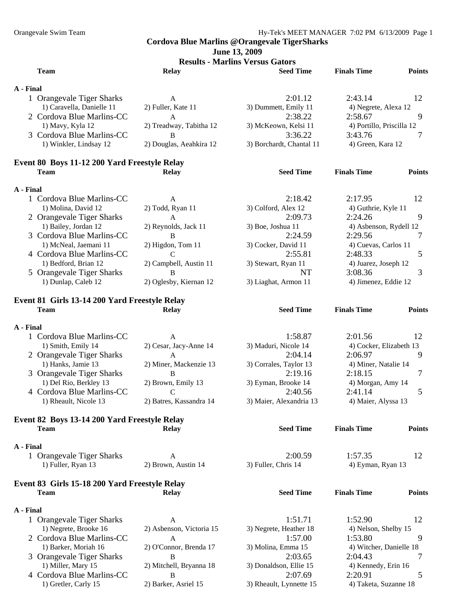**June 13, 2009** 

**Results - Marlins Versus Gators** 

| <b>Team</b>                                                                                                                          | <b>Relay</b>                                                 | <b>Seed Time</b>                                                              | <b>Finals Time</b>                                                                 | <b>Points</b> |
|--------------------------------------------------------------------------------------------------------------------------------------|--------------------------------------------------------------|-------------------------------------------------------------------------------|------------------------------------------------------------------------------------|---------------|
| A - Final                                                                                                                            |                                                              |                                                                               |                                                                                    |               |
| 1 Orangevale Tiger Sharks<br>1) Caravella, Danielle 11<br>2 Cordova Blue Marlins-CC<br>1) Mavy, Kyla 12<br>3 Cordova Blue Marlins-CC | A<br>2) Fuller, Kate 11<br>A<br>2) Treadway, Tabitha 12<br>B | 2:01.12<br>3) Dummett, Emily 11<br>2:38.22<br>3) McKeown, Kelsi 11<br>3:36.22 | 2:43.14<br>4) Negrete, Alexa 12<br>2:58.67<br>4) Portillo, Priscilla 12<br>3:43.76 | 12<br>9<br>7  |
| 1) Winkler, Lindsay 12                                                                                                               | 2) Douglas, Aeahkira 12                                      | 3) Borchardt, Chantal 11                                                      | 4) Green, Kara 12                                                                  |               |
| Event 80 Boys 11-12 200 Yard Freestyle Relay                                                                                         |                                                              |                                                                               |                                                                                    |               |
| <b>Team</b>                                                                                                                          | <b>Relay</b>                                                 | <b>Seed Time</b>                                                              | <b>Finals Time</b>                                                                 | <b>Points</b> |
| A - Final                                                                                                                            |                                                              |                                                                               |                                                                                    |               |
| 1 Cordova Blue Marlins-CC                                                                                                            | $\mathbf{A}$                                                 | 2:18.42                                                                       | 2:17.95                                                                            | 12            |
| 1) Molina, David 12                                                                                                                  | 2) Todd, Ryan 11                                             | 3) Colford, Alex 12                                                           | 4) Guthrie, Kyle 11                                                                |               |
| 2 Orangevale Tiger Sharks                                                                                                            | A                                                            | 2:09.73                                                                       | 2:24.26                                                                            | 9             |
| 1) Bailey, Jordan 12                                                                                                                 | 2) Reynolds, Jack 11                                         | 3) Boe, Joshua 11                                                             | 4) Asbenson, Rydell 12                                                             |               |
| 3 Cordova Blue Marlins-CC                                                                                                            | <sub>B</sub>                                                 | 2:24.59                                                                       | 2:29.56                                                                            | 7             |
| 1) McNeal, Jaemani 11                                                                                                                | 2) Higdon, Tom 11                                            | 3) Cocker, David 11                                                           | 4) Cuevas, Carlos 11                                                               |               |
| 4 Cordova Blue Marlins-CC                                                                                                            | $\mathcal{C}$                                                | 2:55.81                                                                       | 2:48.33                                                                            | 5             |
| 1) Bedford, Brian 12                                                                                                                 | 2) Campbell, Austin 11                                       | 3) Stewart, Ryan 11                                                           | 4) Juarez, Joseph 12                                                               |               |
| 5 Orangevale Tiger Sharks                                                                                                            | B                                                            | <b>NT</b>                                                                     | 3:08.36                                                                            | 3             |
| 1) Dunlap, Caleb 12                                                                                                                  | 2) Oglesby, Kiernan 12                                       | 3) Liaghat, Armon 11                                                          | 4) Jimenez, Eddie 12                                                               |               |
|                                                                                                                                      |                                                              |                                                                               |                                                                                    |               |
| Event 81 Girls 13-14 200 Yard Freestyle Relay<br><b>Team</b>                                                                         | <b>Relay</b>                                                 | <b>Seed Time</b>                                                              | <b>Finals Time</b>                                                                 | <b>Points</b> |
|                                                                                                                                      |                                                              |                                                                               |                                                                                    |               |
| A - Final                                                                                                                            |                                                              |                                                                               |                                                                                    |               |
| 1 Cordova Blue Marlins-CC                                                                                                            | A                                                            | 1:58.87                                                                       | 2:01.56                                                                            | 12            |
| 1) Smith, Emily 14                                                                                                                   | 2) Cesar, Jacy-Anne 14                                       | 3) Maduri, Nicole 14                                                          | 4) Cocker, Elizabeth 13                                                            |               |
| 2 Orangevale Tiger Sharks                                                                                                            | $\mathbf{A}$                                                 | 2:04.14                                                                       | 2:06.97                                                                            | 9             |
| 1) Hanks, Jamie 13                                                                                                                   | 2) Miner, Mackenzie 13                                       | 3) Corrales, Taylor 13                                                        | 4) Miner, Natalie 14                                                               |               |
| 3 Orangevale Tiger Sharks                                                                                                            | B                                                            | 2:19.16                                                                       | 2:18.15                                                                            | 7             |
| 1) Del Rio, Berkley 13                                                                                                               | 2) Brown, Emily 13                                           | 3) Eyman, Brooke 14                                                           | 4) Morgan, Amy 14                                                                  |               |
| 4 Cordova Blue Marlins-CC                                                                                                            | C                                                            | 2:40.56                                                                       | 2:41.14                                                                            | 5             |
| 1) Rheault, Nicole 13                                                                                                                | 2) Batres, Kassandra 14                                      | 3) Maier, Alexandria 13                                                       | 4) Maier, Alyssa 13                                                                |               |
|                                                                                                                                      |                                                              |                                                                               |                                                                                    |               |
| Event 82 Boys 13-14 200 Yard Freestyle Relay<br><b>Team</b>                                                                          | <b>Relay</b>                                                 | <b>Seed Time</b>                                                              | <b>Finals Time</b>                                                                 | <b>Points</b> |
|                                                                                                                                      |                                                              |                                                                               |                                                                                    |               |
| A - Final                                                                                                                            |                                                              |                                                                               |                                                                                    |               |
| 1 Orangevale Tiger Sharks                                                                                                            | A                                                            | 2:00.59                                                                       | 1:57.35                                                                            | 12            |
| 1) Fuller, Ryan 13                                                                                                                   | 2) Brown, Austin 14                                          | 3) Fuller, Chris 14                                                           | 4) Eyman, Ryan 13                                                                  |               |
| Event 83 Girls 15-18 200 Yard Freestyle Relay                                                                                        |                                                              |                                                                               |                                                                                    |               |
| <b>Team</b>                                                                                                                          | <b>Relay</b>                                                 | <b>Seed Time</b>                                                              | <b>Finals Time</b>                                                                 | <b>Points</b> |
|                                                                                                                                      |                                                              |                                                                               |                                                                                    |               |
| A - Final                                                                                                                            |                                                              |                                                                               |                                                                                    |               |
| 1 Orangevale Tiger Sharks                                                                                                            | A                                                            | 1:51.71                                                                       | 1:52.90                                                                            | 12            |
| 1) Negrete, Brooke 16                                                                                                                | 2) Asbenson, Victoria 15                                     | 3) Negrete, Heather 18                                                        | 4) Nelson, Shelby 15                                                               |               |
| 2 Cordova Blue Marlins-CC                                                                                                            | A                                                            | 1:57.00                                                                       | 1:53.80                                                                            | 9             |
| 1) Barker, Moriah 16                                                                                                                 | 2) O'Connor, Brenda 17                                       | 3) Molina, Emma 15                                                            | 4) Witcher, Danielle 18                                                            |               |
| 3 Orangevale Tiger Sharks                                                                                                            | B                                                            | 2:03.65                                                                       | 2:04.43                                                                            | 7             |
| 1) Miller, Mary 15                                                                                                                   | 2) Mitchell, Bryanna 18                                      | 3) Donaldson, Ellie 15                                                        | 4) Kennedy, Erin 16                                                                |               |
| 4 Cordova Blue Marlins-CC                                                                                                            | $\bf{B}$                                                     | 2:07.69                                                                       | 2:20.91                                                                            | 5             |
| 1) Gretler, Carly 15                                                                                                                 | 2) Barker, Asriel 15                                         | 3) Rheault, Lynnette 15                                                       | 4) Taketa, Suzanne 18                                                              |               |